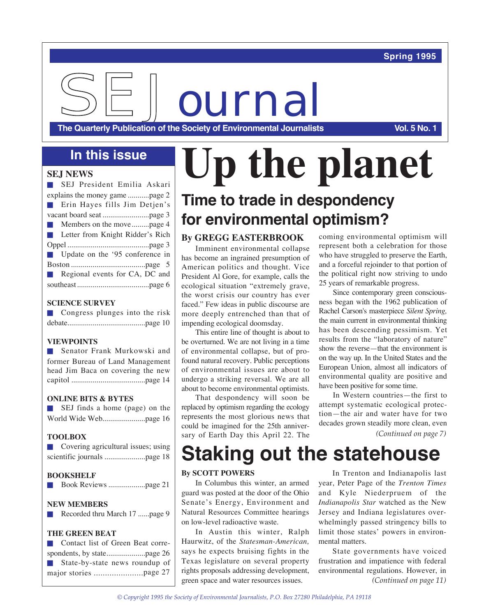### **Spring 1995**

**SEJOURNA** 

**The Quarterly Publication of the Society of Environmental Journalists Vol. 5 No. 1** 

#### **SEJ NEWS**

| SEJ President Emilia Askari             |
|-----------------------------------------|
|                                         |
| Erin Hayes fills Jim Detjen's           |
|                                         |
| Members on the movepage 4               |
| <b>Letter from Knight Ridder's Rich</b> |
|                                         |
| Update on the '95 conference in         |
|                                         |
| Regional events for CA, DC and          |
|                                         |
|                                         |

#### **SCIENCE SURVEY**

| $\Box$ Congress plunges into the risk |  |  |
|---------------------------------------|--|--|
|                                       |  |  |

#### **VIEWPOINTS**

**n** Senator Frank Murkowski and former Bureau of Land Management head Jim Baca on covering the new capitol ......................................page 14

#### **ONLINE BITS & BYTES**

|  |  | SEJ finds a home (page) on the |  |  |
|--|--|--------------------------------|--|--|
|  |  |                                |  |  |

#### **TOOLBOX**

| $\left\vert \cdot\right\vert$ | Covering agricultural issues; using |  |  |  |  |
|-------------------------------|-------------------------------------|--|--|--|--|
|                               |                                     |  |  |  |  |

#### **BOOKSHELF**

|--|--|

#### **NEW MEMBERS**

|  | Recorded thru March 17 page 9 |  |  |  |  |  |
|--|-------------------------------|--|--|--|--|--|
|--|-------------------------------|--|--|--|--|--|

#### **THE GREEN BEAT**

| ■ Contact list of Green Beat corre- |  |
|-------------------------------------|--|
|                                     |  |
| State-by-state news roundup of      |  |
|                                     |  |
|                                     |  |

# **In this issue Up the planet Time to trade in despondency for environmental optimism?**

#### **By GREGG EASTERBROOK**

Imminent environmental collapse has become an ingrained presumption of American politics and thought. Vice President Al Gore, for example, calls the ecological situation "extremely grave, the worst crisis our country has ever faced." Few ideas in public discourse are more deeply entrenched than that of impending ecological doomsday.

This entire line of thought is about to be overturned. We are not living in a time of environmental collapse, but of profound natural recovery. Public perceptions of environmental issues are about to undergo a striking reversal. We are all about to become environmental optimists.

That despondency will soon be replaced by optimism regarding the ecology represents the most glorious news that could be imagined for the 25th anniversary of Earth Day this April 22. The

coming environmental optimism will represent both a celebration for those who have struggled to preserve the Earth, and a forceful rejoinder to that portion of the political right now striving to undo 25 years of remarkable progress.

Since contemporary green consciousness began with the 1962 publication of Rachel Carson's masterpiece *Silent Spring,* the main current in environmental thinking has been descending pessimism. Yet results from the "laboratory of nature" show the reverse—that the environment is on the way up. In the United States and the European Union, almost all indicators of environmental quality are positive and have been positive for some time.

In Western countries—the first to attempt systematic ecological protection—the air and water have for two decades grown steadily more clean, even *(Continued on page 7)*

# **Staking out the statehouse**

#### **By SCOTT POWERS**

In Columbus this winter, an armed guard was posted at the door of the Ohio Senate's Energy, Environment and Natural Resources Committee hearings on low-level radioactive waste.

In Austin this winter, Ralph Haurwitz, of the *Statesman-American,* says he expects bruising fights in the Texas legislature on several property rights proposals addressing development, green space and water resources issues.

In Trenton and Indianapolis last year, Peter Page of the *Trenton Times* and Kyle Niederpruem of the *Indianapolis Star* watched as the New Jersey and Indiana legislatures overwhelmingly passed stringency bills to limit those states' powers in environmental matters.

State governments have voiced frustration and impatience with federal environmental regulations. However, in *(Continued on page 11)*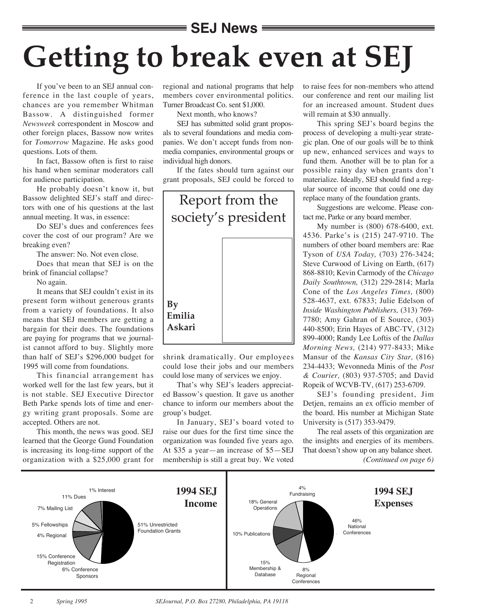# **SEJ News Getting to break even at SEJ**

If you've been to an SEJ annual conference in the last couple of years, chances are you remember Whitman Bassow. A distinguished former *Newsweek* correspondent in Moscow and other foreign places, Bassow now writes for *Tomorrow* Magazine. He asks good questions. Lots of them.

In fact, Bassow often is first to raise his hand when seminar moderators call for audience participation.

He probably doesn't know it, but Bassow delighted SEJ's staff and directors with one of his questions at the last annual meeting. It was, in essence:

Do SEJ's dues and conferences fees cover the cost of our program? Are we breaking even?

The answer: No. Not even close.

Does that mean that SEJ is on the brink of financial collapse?

No again.

It means that SEJ couldn't exist in its present form without generous grants from a variety of foundations. It also means that SEJ members are getting a bargain for their dues. The foundations are paying for programs that we journalist cannot afford to buy. Slightly more than half of SEJ's \$296,000 budget for 1995 will come from foundations.

This financial arrangement has worked well for the last few years, but it is not stable. SEJ Executive Director Beth Parke spends lots of time and energy writing grant proposals. Some are accepted. Others are not.

This month, the news was good. SEJ learned that the George Gund Foundation is increasing its long-time support of the organization with a \$25,000 grant for regional and national programs that help members cover environmental politics. Turner Broadcast Co. sent \$1,000.

Next month, who knows?

SEJ has submitted solid grant proposals to several foundations and media companies. We don't accept funds from nonmedia companies, environmental groups or individual high donors.

If the fates should turn against our grant proposals, SEJ could be forced to



shrink dramatically. Our employees could lose their jobs and our members could lose many of services we enjoy.

That's why SEJ's leaders appreciated Bassow's question. It gave us another chance to inform our members about the group's budget.

In January, SEJ's board voted to raise our dues for the first time since the organization was founded five years ago. At \$35 a year—an increase of \$5—SEJ membership is still a great buy. We voted

to raise fees for non-members who attend our conference and rent our mailing list for an increased amount. Student dues will remain at \$30 annually.

This spring SEJ's board begins the process of developing a multi-year strategic plan. One of our goals will be to think up new, enhanced services and ways to fund them. Another will be to plan for a possible rainy day when grants don't materialize. Ideally, SEJ should find a regular source of income that could one day replace many of the foundation grants.

Suggestions are welcome. Please contact me, Parke or any board member.

My number is (800) 678-6400, ext. 4536. Parke's is (215) 247-9710. The numbers of other board members are: Rae Tyson of *USA Today,* (703) 276-3424; Steve Curwood of Living on Earth, (617) 868-8810; Kevin Carmody of the *Chicago Daily Southtown,* (312) 229-2814; Marla Cone of the *Los Angeles Times,* (800) 528-4637, ext. 67833; Julie Edelson of *Inside Washington Publishers,* (313) 769- 7780; Amy Gahran of E Source, (303) 440-8500; Erin Hayes of ABC-TV, (312) 899-4000; Randy Lee Loftis of the *Dallas Morning News,* (214) 977-8433; Mike Mansur of the *Kansas City Star,* (816) 234-4433; Wevonneda Minis of the *Post & Courier,* (803) 937-5705; and David Ropeik of WCVB-TV, (617) 253-6709.

SEJ's founding president, Jim Detjen, remains an ex officio member of the board. His number at Michigan State University is (517) 353-9479.

The real assets of this organization are the insights and energies of its members. That doesn't show up on any balance sheet.

*(Continued on page 6)*

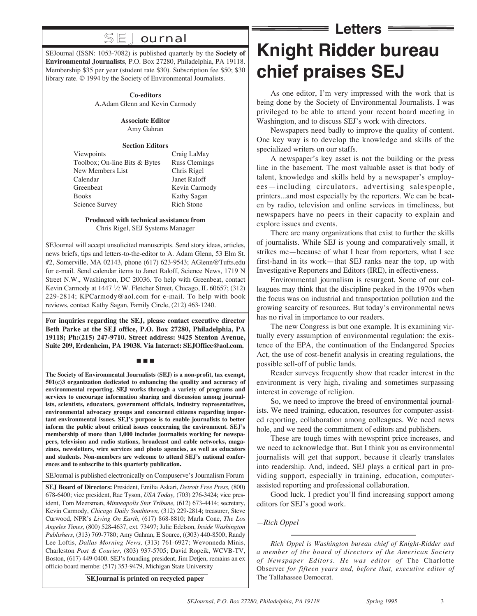## **SEJ** ournal

SEJournal (ISSN: 1053-7082) is published quarterly by the **Society of Environmental Journalists**, P.O. Box 27280, Philadelphia, PA 19118. Membership \$35 per year (student rate \$30). Subscription fee \$50; \$30 library rate. © 1994 by the Society of Environmental Journalists.

#### **Co-editors**

A.Adam Glenn and Kevin Carmody

#### **Associate Editor**

Amy Gahran

#### **Section Editors**

| Viewpoints                    | Craig LaMay          |
|-------------------------------|----------------------|
| Toolbox; On-line Bits & Bytes | <b>Russ Clemings</b> |
| New Members List              | Chris Rigel          |
| Calendar                      | Janet Raloff         |
| Greenbeat                     | Kevin Carmody        |
| <b>Books</b>                  | Kathy Sagan          |
| Science Survey                | <b>Rich Stone</b>    |
|                               |                      |

#### **Produced with technical assistance from** Chris Rigel, SEJ Systems Manager

SEJournal will accept unsolicited manuscripts. Send story ideas, articles, news briefs, tips and letters-to-the-editor to A. Adam Glenn, 53 Elm St. #2, Somerville, MA 02143, phone (617) 623-9543; AGlenn@Tufts.edu for e-mail. Send calendar items to Janet Raloff, Science News, 1719 N Street N.W., Washington, DC 20036. To help with Greenbeat, contact Kevin Carmody at  $1447 \frac{1}{2}$  W. Fletcher Street, Chicago, IL 60657; (312) 229-2814; KPCarmody@aol.com for e-mail. To help with book reviews, contact Kathy Sagan, Family Circle, (212) 463-1240.

**For inquiries regarding the SEJ, please contact executive director Beth Parke at the SEJ office, P.O. Box 27280, Philadelphia, PA 19118; Ph:(215) 247-9710. Street address: 9425 Stenton Avenue, Suite 209, Erdenheim, PA 19038. Via Internet: SEJOffice@aol.com.**

#### n n n

**The Society of Environmental Journalists (SEJ) is a non-profit, tax exempt, 501(c)3 organization dedicated to enhancing the quality and accuracy of environmental reporting. SEJ works through a variety of programs and services to encourage information sharing and discussion among journalists, scientists, educators, government officials, industry representatives, environmental advocacy groups and concerned citizens regarding important environmental issues. SEJ's purpose is to enable journalists to better inform the public about critical issues concerning the environment. SEJ's membership of more than 1,000 includes journalists working for newspapers, television and radio stations, broadcast and cable networks, magazines, newsletters, wire services and photo agencies, as well as educators and students. Non-members are welcome to attend SEJ's national conferences and to subscribe to this quarterly publication.**

SEJournal is published electronically on Compuserve's Journalism Forum

**SEJ Board of Directors:** President, Emilia Askari, *Detroit Free Press,* (800) 678-6400; vice president, Rae Tyson, *USA Today,* (703) 276-3424; vice president, Tom Meersman, *Minneapolis Star Tribune,* (612) 673-4414; secretary, Kevin Carmody, *Chicago Daily Southtown,* (312) 229-2814; treasurer, Steve Curwood, NPR's *Living On Earth,* (617) 868-8810; Marla Cone, *The Los Angeles Times,* (800) 528-4637, ext. 73497; Julie Edelson, *Inside Washington Publishers,* (313) 769-7780; Amy Gahran, E Source, ((303) 440-8500; Randy Lee Loftis, *Dallas Morning News,* (313) 761-6927; Wevonneda Minis, Charleston *Post & Courier,* (803) 937-5705; David Ropeik, WCVB-TV, Boston, (617) 449-0400. SEJ's founding president, Jim Detjen, remains an ex officio board membe: (517) 353-9479, Michigan State University

**SEJournal is printed on recycled paper**

# **Knight Ridder bureau chief praises SEJ**

 $=$  Letters  $=$ 

As one editor, I'm very impressed with the work that is being done by the Society of Environmental Journalists. I was privileged to be able to attend your recent board meeting in Washington, and to discuss SEJ's work with directors.

Newspapers need badly to improve the quality of content. One key way is to develop the knowledge and skills of the specialized writers on our staffs.

A newspaper's key asset is not the building or the press line in the basement. The most valuable asset is that body of talent, knowledge and skills held by a newspaper's employees—including circulators, advertising salespeople, printers...and most especially by the reporters. We can be beaten by radio, television and online services in timeliness, but newspapers have no peers in their capacity to explain and explore issues and events.

There are many organizations that exist to further the skills of journalists. While SEJ is young and comparatively small, it strikes me—because of what I hear from reporters, what I see first-hand in its work—that SEJ ranks near the top, up with Investigative Reporters and Editors (IRE), in effectiveness.

Environmental journalism is resurgent. Some of our colleagues may think that the discipline peaked in the 1970s when the focus was on industrial and transportation pollution and the growing scarcity of resources. But today's environmental news has no rival in importance to our readers.

The new Congress is but one example. It is examining virtually every assumption of environmental regulation: the existence of the EPA, the continuation of the Endangered Species Act, the use of cost-benefit analysis in creating regulations, the possible sell-off of public lands.

Reader surveys frequently show that reader interest in the environment is very high, rivaling and sometimes surpassing interest in coverage of religion.

So, we need to improve the breed of environmental journalists. We need training, education, resources for computer-assisted reporting, collaboration among colleagues. We need news hole, and we need the commitment of editors and publishers.

These are tough times with newsprint price increases, and we need to acknowledge that. But I think you as environmental journalists will get that support, because it clearly translates into readership. And, indeed, SEJ plays a critical part in providing support, especially in training, education, computerassisted reporting and professional collaboration.

Good luck. I predict you'll find increasing support among editors for SEJ's good work.

*—Rich Oppel*

*Rich Oppel is Washington bureau chief of Knight-Ridder and a member of the board of directors of the American Society of Newspaper Editors. He was editor of* The Charlotte Observer *for fifteen years and, before that, executive editor of*  The Tallahassee Democrat.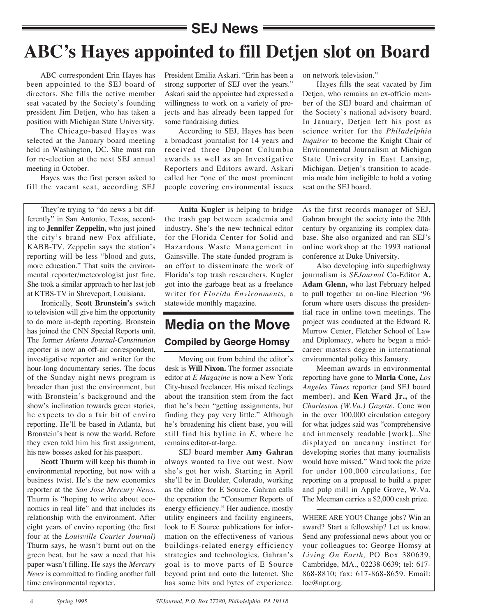### $\equiv$  SEJ News  $\,$

# **ABC's Hayes appointed to fill Detjen slot on Board**

ABC correspondent Erin Hayes has been appointed to the SEJ board of directors. She fills the active member seat vacated by the Society's founding president Jim Detjen, who has taken a position with Michigan State University.

The Chicago-based Hayes was selected at the January board meeting held in Washington, DC. She must run for re-election at the next SEJ annual meeting in October.

Hayes was the first person asked to fill the vacant seat, according SEJ

They're trying to "do news a bit differently" in San Antonio, Texas, according to **Jennifer Zeppelin,** who just joined the city's brand new Fox affiliate, KABB-TV. Zeppelin says the station's reporting will be less "blood and guts, more education." That suits the environmental reporter/meteorologist just fine. She took a similar approach to her last job at KTBS-TV in Shreveport, Louisiana.

Ironically, **Scott Bronstein's** switch to television will give him the opportunity to do more in-depth reporting. Bronstein has joined the CNN Special Reports unit. The former *Atlanta Journal-Constitution* reporter is now an off-air correspondent, investigative reporter and writer for the hour-long documentary series. The focus of the Sunday night news program is broader than just the environment, but with Bronstein's background and the show's inclination towards green stories, he expects to do a fair bit of enviro reporting. He'll be based in Atlanta, but Bronstein's beat is now the world. Before they even told him his first assignment, his new bosses asked for his passport.

**Scott Thurm** will keep his thumb in environmental reporting, but now with a business twist. He's the new economics reporter at the *San Jose Mercury News.* Thurm is "hoping to write about economics in real life" and that includes its relationship with the environment. After eight years of enviro reporting (the first four at the *Louisville Courier Journal)* Thurm says, he wasn't burnt out on the green beat, but he saw a need that his paper wasn't filling. He says the *Mercury News* is committed to finding another full time environmental reporter.

President Emilia Askari. "Erin has been a strong supporter of SEJ over the years." Askari said the appointee had expressed a willingness to work on a variety of projects and has already been tapped for some fundraising duties.

According to SEJ, Hayes has been a broadcast journalist for 14 years and received three Dupont Columbia awards as well as an Investigative Reporters and Editors award. Askari called her "one of the most prominent people covering environmental issues

**Anita Kugler** is helping to bridge the trash gap between academia and industry. She's the new technical editor for the Florida Center for Solid and Hazardous Waste Management in Gainsville. The state-funded program is an effort to disseminate the work of Florida's top trash researchers. Kugler got into the garbage beat as a freelance writer for *Florida Environments,* a statewide monthly magazine.

## **Media on the Move Compiled by George Homsy**

Moving out from behind the editor's desk is **Will Nixon.** The former associate editor at *E Magazine* is now a New York City-based freelancer. His mixed feelings about the transition stem from the fact that he's been "getting assignments, but finding they pay very little." Although he's broadening his client base, you will still find his byline in *E*, where he remains editor-at-large.

SEJ board member **Amy Gahran** always wanted to live out west. Now she's got her wish. Starting in April she'll be in Boulder, Colorado, working as the editor for E Source. Gahran calls the operation the "Consumer Reports of energy efficiency." Her audience, mostly utility engineers and facility engineers, look to E Source publications for information on the effectiveness of various buildings-related energy efficiency strategies and technologies. Gahran's goal is to move parts of E Source beyond print and onto the Internet. She has some bits and bytes of experience.

on network television."

Hayes fills the seat vacated by Jim Detjen, who remains an ex-officio member of the SEJ board and chairman of the Society's national advisory board. In January, Detjen left his post as science writer for the *Philadelphia Inquirer* to become the Knight Chair of Environmental Journalism at Michigan State University in East Lansing, Michigan. Detjen's transition to academia made him ineligible to hold a voting seat on the SEJ board.

As the first records manager of SEJ, Gahran brought the society into the 20th century by organizing its complex database. She also organized and ran SEJ's online workshop at the 1993 national conference at Duke University.

Also developing info superhighway journalism is *SEJournal* Co-Editor **A. Adam Glenn,** who last February helped to pull together an on-line Election '96 forum where users discuss the presidential race in online town meetings. The project was conducted at the Edward R. Murrow Center, Fletcher School of Law and Diplomacy, where he began a midcareer masters degree in international environmental policy this January.

Meeman awards in environmental reporting have gone to **Marla Cone,** *Los Angeles Times* reporter (and SEJ board member), and **Ken Ward Jr.,** of the *Charleston (W.Va.) Gazette.* Cone won in the over 100,000 circulation category for what judges said was "comprehensive and immensely readable [work]...She displayed an uncanny instinct for developing stories that many journalists would have missed." Ward took the prize for under 100,000 circulations, for reporting on a proposal to build a paper and pulp mill in Apple Grove, W.Va. The Meeman carries a \$2,000 cash prize.

WHERE ARE YOU? Change jobs? Win an award? Start a fellowship? Let us know. Send any professional news about you or your colleagues to: George Homsy at *Living On Earth,* PO Box 380639, Cambridge, MA., 02238-0639; tel: 617- 868-8810; fax: 617-868-8659. Email: loe@npr.org.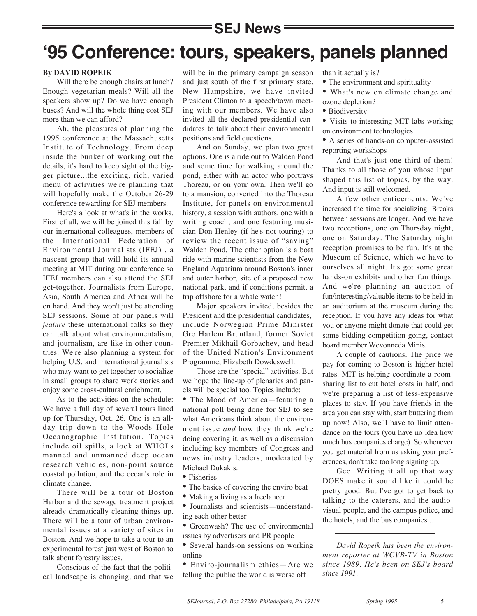### **SEJ News**

# **'95 Conference: tours, speakers, panels planned**

#### **By DAVID ROPEIK**

Will there be enough chairs at lunch? Enough vegetarian meals? Will all the speakers show up? Do we have enough buses? And will the whole thing cost SEJ more than we can afford?

Ah, the pleasures of planning the 1995 conference at the Massachusetts Institute of Technology. From deep inside the bunker of working out the details, it's hard to keep sight of the bigger picture...the exciting, rich, varied menu of activities we're planning that will hopefully make the October 26-29 conference rewarding for SEJ members.

Here's a look at what's in the works. First of all, we will be joined this fall by our international colleagues, members of the International Federation of Environmental Journalists (IFEJ) , a nascent group that will hold its annual meeting at MIT during our conference so IFEJ members can also attend the SEJ get-together. Journalists from Europe, Asia, South America and Africa will be on hand. And they won't just be attending SEJ sessions. Some of our panels will *feature* these international folks so they can talk about what environmentalism, and journalism, are like in other countries. We're also planning a system for helping U.S. and international journalists who may want to get together to socialize in small groups to share work stories and enjoy some cross-cultural enrichment.

As to the activities on the schedule: We have a full day of several tours lined up for Thursday, Oct. 26. One is an allday trip down to the Woods Hole Oceanographic Institution. Topics include oil spills, a look at WHOI's manned and unmanned deep ocean research vehicles, non-point source coastal pollution, and the ocean's role in climate change.

There will be a tour of Boston Harbor and the sewage treatment project already dramatically cleaning things up. There will be a tour of urban environmental issues at a variety of sites in Boston. And we hope to take a tour to an experimental forest just west of Boston to talk about forestry issues.

Conscious of the fact that the political landscape is changing, and that we will be in the primary campaign season and just south of the first primary state, New Hampshire, we have invited President Clinton to a speech/town meeting with our members. We have also invited all the declared presidential candidates to talk about their environmental positions and field questions.

And on Sunday, we plan two great options. One is a ride out to Walden Pond and some time for walking around the pond, either with an actor who portrays Thoreau, or on your own. Then we'll go to a mansion, converted into the Thoreau Institute, for panels on environmental history, a session with authors, one with a writing coach, and one featuring musician Don Henley (if he's not touring) to review the recent issue of "saving" Walden Pond. The other option is a boat ride with marine scientists from the New England Aquarium around Boston's inner and outer harbor, site of a proposed new national park, and if conditions permit, a trip offshore for a whale watch!

Major speakers invited, besides the President and the presidential candidates, include Norwegian Prime Minister Gro Harlem Bruntland, former Soviet Premier Mikhail Gorbachev, and head of the United Nation's Environment Programme, Elizabeth Dowdeswell.

Those are the "special" activities. But we hope the line-up of plenaries and panels will be special too. Topics include:

• The Mood of America—featuring a national poll being done for SEJ to see what Americans think about the environment issue *and* how they think we're doing covering it, as well as a discussion including key members of Congress and news industry leaders, moderated by Michael Dukakis.

- Fisheries
- The basics of covering the enviro beat
- Making a living as a freelancer
- Journalists and scientists—understanding each other better
- Greenwash? The use of environmental issues by advertisers and PR people
- Several hands-on sessions on working online
- Enviro-journalism ethics—Are we telling the public the world is worse off

than it actually is?

- The environment and spirituality
- What's new on climate change and ozone depletion?
- Biodiversity

• Visits to interesting MIT labs working on environment technologies

• A series of hands-on computer-assisted reporting workshops

And that's just one third of them! Thanks to all those of you whose input shaped this list of topics, by the way. And input is still welcomed.

A few other enticements. We've increased the time for socializing. Breaks between sessions are longer. And we have two receptions, one on Thursday night, one on Saturday. The Saturday night reception promises to be fun. It's at the Museum of Science, which we have to ourselves all night. It's got some great hands-on exhibits and other fun things. And we're planning an auction of fun/interesting/valuable items to be held in an auditorium at the museum during the reception. If you have any ideas for what you or anyone might donate that could get some bidding competition going, contact board member Wevonneda Minis.

A couple of cautions. The price we pay for coming to Boston is higher hotel rates. MIT is helping coordinate a roomsharing list to cut hotel costs in half, and we're preparing a list of less-expensive places to stay. If you have friends in the area you can stay with, start buttering them up now! Also, we'll have to limit attendance on the tours (you have no idea how much bus companies charge). So whenever you get material from us asking your preferences, don't take too long signing up.

Gee. Writing it all up that way DOES make it sound like it could be pretty good. But I've got to get back to talking to the caterers, and the audiovisual people, and the campus police, and the hotels, and the bus companies...

*David Ropeik has been the environment reporter at WCVB-TV in Boston since 1989. He's been on SEJ's board since 1991.*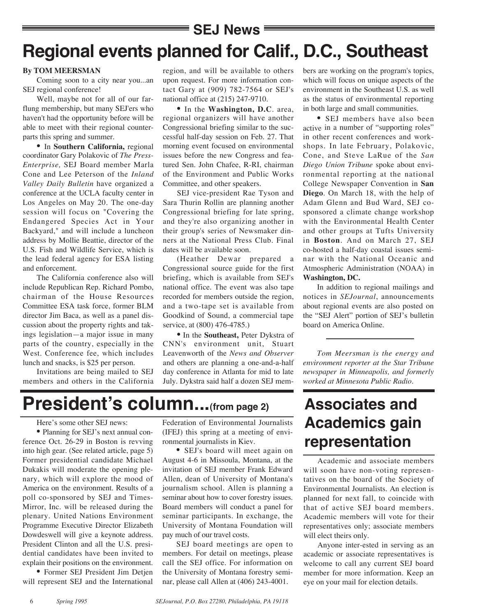## **SEJ News Regional events planned for Calif., D.C., Southeast**

#### **By TOM MEERSMAN**

Coming soon to a city near you...an SEJ regional conference!

Well, maybe not for all of our farflung membership, but many SEJ'ers who haven't had the opportunity before will be able to meet with their regional counterparts this spring and summer.

• In **Southern California,** regional coordinator Gary Polakovic of *The Press-Enterprise,* SEJ Board member Marla Cone and Lee Peterson of the *Inland Valley Daily Bulletin* have organized a conference at the UCLA faculty center in Los Angeles on May 20. The one-day session will focus on "Covering the Endangered Species Act in Your Backyard," and will include a luncheon address by Mollie Beattie, director of the U.S. Fish and Wildlife Service, which is the lead federal agency for ESA listing and enforcement.

The California conference also will include Republican Rep. Richard Pombo, chairman of the House Resources Committee ESA task force, former BLM director Jim Baca, as well as a panel discussion about the property rights and takings legislation—a major issue in many parts of the country, especially in the West. Conference fee, which includes lunch and snacks, is \$25 per person.

Invitations are being mailed to SEJ members and others in the California

region, and will be available to others upon request. For more information contact Gary at (909) 782-7564 or SEJ's national office at (215) 247-9710.

• In the **Washington, D.C**. area, regional organizers will have another Congressional briefing similar to the successful half-day session on Feb. 27. That morning event focused on environmental issues before the new Congress and featured Sen. John Chafee, R-RI, chairman of the Environment and Public Works Committee, and other speakers.

SEJ vice-president Rae Tyson and Sara Thurin Rollin are planning another Congressional briefing for late spring, and they're also organizing another in their group's series of Newsmaker dinners at the National Press Club. Final dates will be available soon.

(Heather Dewar prepared a Congressional source guide for the first briefing, which is available from SEJ's national office. The event was also tape recorded for members outside the region, and a two-tape set is available from Goodkind of Sound, a commercial tape service, at (800) 476-4785.)

• In the **Southeast,** Peter Dykstra of CNN's environment unit, Stuart Leavenworth of the *News and Observer* and others are planning a one-and-a-half day conference in Atlanta for mid to late July. Dykstra said half a dozen SEJ mem-

bers are working on the program's topics, which will focus on unique aspects of the environment in the Southeast U.S. as well as the status of environmental reporting in both large and small communities.

• SEJ members have also been active in a number of "supporting roles" in other recent conferences and workshops. In late February, Polakovic, Cone, and Steve LaRue of the *San Diego Union Tribune* spoke about environmental reporting at the national College Newspaper Convention in **San Diego**. On March 18, with the help of Adam Glenn and Bud Ward, SEJ cosponsored a climate change workshop with the Environmental Health Center and other groups at Tufts University in **Boston**. And on March 27, SEJ co-hosted a half-day coastal issues seminar with the National Oceanic and Atmospheric Administration (NOAA) in **Washington, DC.**

In addition to regional mailings and notices in *SEJournal*, announcements about regional events are also posted on the "SEJ Alert" portion of SEJ's bulletin board on America Online.

*Tom Meersman is the energy and environment reporter at the Star Tribune newspaper in Minneapolis, and formerly worked at Minnesota Public Radio.*

# **President's column...(from page 2)**

#### Here's some other SEJ news:

• Planning for SEJ's next annual conference Oct. 26-29 in Boston is revving into high gear. (See related article, page 5) Former presidential candidate Michael Dukakis will moderate the opening plenary, which will explore the mood of America on the environment. Results of a poll co-sponsored by SEJ and Times-Mirror, Inc. will be released during the plenary. United Nations Environment Programme Executive Director Elizabeth Dowdeswell will give a keynote address. President Clinton and all the U.S. presidential candidates have been invited to explain their positions on the environment.

• Former SEJ President Jim Detjen will represent SEJ and the International

Federation of Environmental Journalists (IFEJ) this spring at a meeting of environmental journalists in Kiev.

• SEJ's board will meet again on August 4-6 in Missoula, Montana, at the invitation of SEJ member Frank Edward Allen, dean of University of Montana's journalism school. Allen is planning a seminar about how to cover forestry issues. Board members will conduct a panel for seminar participants. In exchange, the University of Montana Foundation will pay much of our travel costs.

SEJ board meetings are open to members. For detail on meetings, please call the SEJ office. For information on the University of Montana forestry seminar, please call Allen at (406) 243-4001.

## **Associates and Academics gain representation**

Academic and associate members will soon have non-voting representatives on the board of the Society of Environmental Journalists. An election is planned for next fall, to coincide with that of active SEJ board members. Academic members will vote for their representatives only; associate members will elect theirs only.

Anyone inter-ested in serving as an academic or associate representatives is welcome to call any current SEJ board member for more information. Keep an eye on your mail for election details.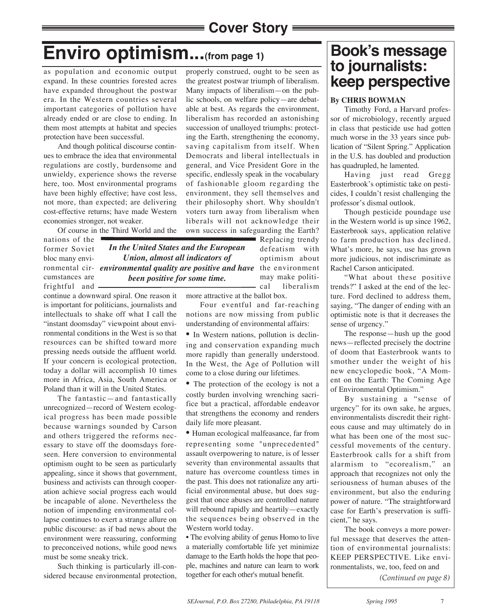# **Enviro optimism...(from page 1)**

as population and economic output expand. In these countries forested acres have expanded throughout the postwar era. In the Western countries several important categories of pollution have already ended or are close to ending. In them most attempts at habitat and species protection have been successful.

And though political discourse continues to embrace the idea that environmental regulations are costly, burdensome and unwieldy, experience shows the reverse here, too. Most environmental programs have been highly effective; have cost less, not more, than expected; are delivering cost-effective returns; have made Western economies stronger, not weaker.

Of course in the Third World and the

nations of the former Soviet bloc many envicumstances are frightful and

ronmental cir- environmental quality are positive and have the environment *In the United States and the European Union, almost all indicators of been positive for some time.*

continue a downward spiral. One reason it is important for politicians, journalists and intellectuals to shake off what I call the "instant doomsday" viewpoint about environmental conditions in the West is so that resources can be shifted toward more pressing needs outside the affluent world. If your concern is ecological protection, today a dollar will accomplish 10 times more in Africa, Asia, South America or Poland than it will in the United States.

The fantastic—and fantastically unrecognized—record of Western ecological progress has been made possible because warnings sounded by Carson and others triggered the reforms necessary to stave off the doomsdays foreseen. Here conversion to environmental optimism ought to be seen as particularly appealing, since it shows that government, business and activists can through cooperation achieve social progress each would be incapable of alone. Nevertheless the notion of impending environmental collapse continues to exert a strange allure on public discourse: as if bad news about the environment were reassuring, conforming to preconceived notions, while good news must be some sneaky trick.

Such thinking is particularly ill-considered because environmental protection,

properly construed, ought to be seen as the greatest postwar triumph of liberalism. Many impacts of liberalism—on the public schools, on welfare policy—are debatable at best. As regards the environment, liberalism has recorded an astonishing succession of unalloyed triumphs: protecting the Earth, strengthening the economy, saving capitalism from itself. When Democrats and liberal intellectuals in general, and Vice President Gore in the specific, endlessly speak in the vocabulary of fashionable gloom regarding the environment, they sell themselves and their philosophy short. Why shouldn't voters turn away from liberalism when liberals will not acknowledge their own success in safeguarding the Earth?

Replacing trendy defeatism with optimism about may make political liberalism

more attractive at the ballot box.

Four eventful and far-reaching notions are now missing from public understanding of environmental affairs:

• In Western nations, pollution is declining and conservation expanding much more rapidly than generally understood. In the West, the Age of Pollution will come to a close during our lifetimes.

• The protection of the ecology is not a costly burden involving wrenching sacrifice but a practical, affordable endeavor that strengthens the economy and renders daily life more pleasant.

• Human ecological malfeasance, far from representing some "unprecedented" assault overpowering to nature, is of lesser severity than environmental assaults that nature has overcome countless times in the past. This does not rationalize any artificial environmental abuse, but does suggest that once abuses are controlled nature will rebound rapidly and heartily—exactly the sequences being observed in the Western world today.

• The evolving ability of genus Homo to live a materially comfortable life yet minimize damage to the Earth holds the hope that people, machines and nature can learn to work together for each other's mutual benefit.

## **Book's message to journalists: keep perspective**

### **By CHRIS BOWMAN**

Timothy Ford, a Harvard professor of microbiology, recently argued in class that pesticide use had gotten much worse in the 33 years since publication of "Silent Spring." Application in the U.S. has doubled and production has quadrupled, he lamented.

Having just read Gregg Easterbrook's optimistic take on pesticides, I couldn't resist challenging the professor's dismal outlook.

Though pesticide poundage use in the Western world is up since 1962, Easterbrook says, application relative to farm production has declined. What's more, he says, use has grown more judicious, not indiscriminate as Rachel Carson anticipated.

"What about these positive trends?" I asked at the end of the lecture. Ford declined to address them, saying, "The danger of ending with an optimistic note is that it decreases the sense of urgency."

The response—hush up the good news—reflected precisely the doctrine of doom that Easterbrook wants to smother under the weight of his new encyclopedic book, "A Moment on the Earth: The Coming Age of Environmental Optimism."

By sustaining a "sense of urgency" for its own sake, he argues, environmentalists discredit their righteous cause and may ultimately do in what has been one of the most successful movements of the century. Easterbrook calls for a shift from alarmism to "ecorealism," an approach that recognizes not only the seriousness of human abuses of the environment, but also the enduring power of nature. "The straightforward case for Earth's preservation is sufficient," he says.

The book conveys a more powerful message that deserves the attention of environmental journalists: KEEP PERSPECTIVE. Like environmentalists, we, too, feed on and *(Continued on page 8)*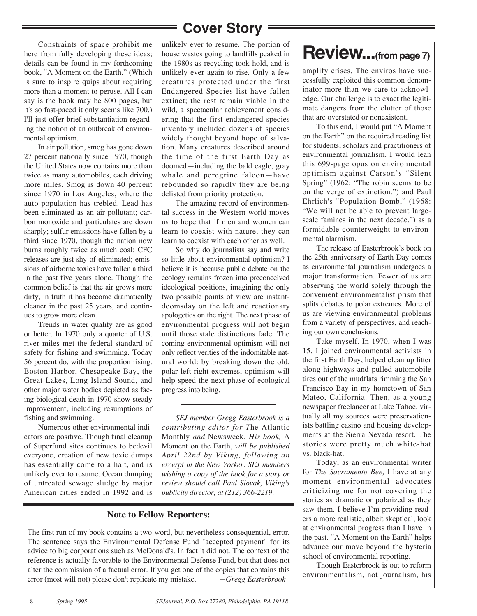Constraints of space prohibit me here from fully developing these ideas; details can be found in my forthcoming book, "A Moment on the Earth." (Which is sure to inspire quips about requiring more than a moment to peruse. All I can say is the book may be 800 pages, but it's so fast-paced it only seems like 700.) I'll just offer brief substantiation regarding the notion of an outbreak of environmental optimism.

In air pollution, smog has gone down 27 percent nationally since 1970, though the United States now contains more than twice as many automobiles, each driving more miles. Smog is down 40 percent since 1970 in Los Angeles, where the auto population has trebled. Lead has been eliminated as an air pollutant; carbon monoxide and particulates are down sharply; sulfur emissions have fallen by a third since 1970, though the nation now burns roughly twice as much coal; CFC releases are just shy of eliminated; emissions of airborne toxics have fallen a third in the past five years alone. Though the common belief is that the air grows more dirty, in truth it has become dramatically cleaner in the past 25 years, and continues to grow more clean.

Trends in water quality are as good or better. In 1970 only a quarter of U.S. river miles met the federal standard of safety for fishing and swimming. Today 56 percent do, with the proportion rising. Boston Harbor, Chesapeake Bay, the Great Lakes, Long Island Sound, and other major water bodies depicted as facing biological death in 1970 show steady improvement, including resumptions of fishing and swimming.

Numerous other environmental indicators are positive. Though final cleanup of Superfund sites continues to bedevil everyone, creation of new toxic dumps has essentially come to a halt, and is unlikely ever to resume. Ocean dumping of untreated sewage sludge by major American cities ended in 1992 and is

unlikely ever to resume. The portion of house wastes going to landfills peaked in the 1980s as recycling took hold, and is unlikely ever again to rise. Only a few creatures protected under the first Endangered Species list have fallen extinct; the rest remain viable in the wild, a spectacular achievement considering that the first endangered species inventory included dozens of species widely thought beyond hope of salvation. Many creatures described around the time of the first Earth Day as doomed—including the bald eagle, gray whale and peregrine falcon—have rebounded so rapidly they are being delisted from priority protection.

The amazing record of environmental success in the Western world moves us to hope that if men and women can learn to coexist with nature, they can learn to coexist with each other as well.

So why do journalists say and write so little about environmental optimism? I believe it is because public debate on the ecology remains frozen into preconceived ideological positions, imagining the only two possible points of view are instantdoomsday on the left and reactionary apologetics on the right. The next phase of environmental progress will not begin until those stale distinctions fade. The coming environmental optimism will not only reflect verities of the indomitable natural world: by breaking down the old, polar left-right extremes, optimism will help speed the next phase of ecological progress into being.

*SEJ member Gregg Easterbrook is a contributing editor for T*he Atlantic Monthly *and* Newsweek. *His book,* A Moment on the Earth, *will be published April 22nd by Viking, following an excerpt in the New Yorker. SEJ members wishing a copy of the book for a story or review should call Paul Slovak, Viking's publicity director, at (212) 366-2219.*

#### **Note to Fellow Reporters:**

The first run of my book contains a two-word, but nevertheless consequential, error. The sentence says the Environmental Defense Fund "accepted payment" for its advice to big corporations such as McDonald's. In fact it did not. The context of the reference is actually favorable to the Environmental Defense Fund, but that does not alter the commission of a factual error. If you get one of the copies that contains this error (most will not) please don't replicate my mistake. *—Gregg Easterbrook*

# **Review...(from page 7)**

amplify crises. The enviros have successfully exploited this common denominator more than we care to acknowledge. Our challenge is to exact the legitimate dangers from the clutter of those that are overstated or nonexistent.

To this end, I would put "A Moment on the Earth" on the required reading list for students, scholars and practitioners of environmental journalism. I would lean this 699-page opus on environmental optimism against Carson's "Silent Spring" (1962: "The robin seems to be on the verge of extinction.") and Paul Ehrlich's "Population Bomb," (1968: "We will not be able to prevent largescale famines in the next decade.") as a formidable counterweight to environmental alarmism.

The release of Easterbrook's book on the 25th anniversary of Earth Day comes as environmental journalism undergoes a major transformation. Fewer of us are observing the world solely through the convenient environmentalist prism that splits debates to polar extremes. More of us are viewing environmental problems from a variety of perspectives, and reaching our own conclusions.

Take myself. In 1970, when I was 15, I joined environmental activists in the first Earth Day, helped clean up litter along highways and pulled automobile tires out of the mudflats rimming the San Francisco Bay in my hometown of San Mateo, California. Then, as a young newspaper freelancer at Lake Tahoe, virtually all my sources were preservationists battling casino and housing developments at the Sierra Nevada resort. The stories were pretty much white-hat vs. black-hat.

Today, as an environmental writer for *The Sacramento Bee,* I have at any moment environmental advocates criticizing me for not covering the stories as dramatic or polarized as they saw them. I believe I'm providing readers a more realistic, albeit skeptical, look at environmental progress than I have in the past. "A Moment on the Earth" helps advance our move beyond the hysteria school of environmental reporting.

Though Easterbrook is out to reform environmentalism, not journalism, his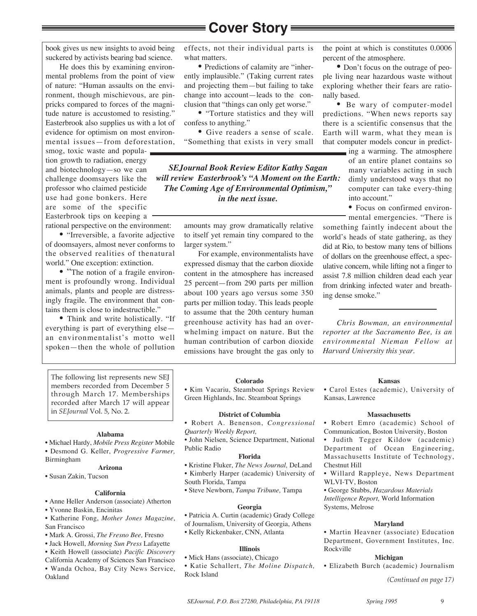book gives us new insights to avoid being suckered by activists bearing bad science.

He does this by examining environmental problems from the point of view of nature: "Human assaults on the environment, though mischievous, are pinpricks compared to forces of the magnitude nature is accustomed to resisting." Easterbrook also supplies us with a lot of evidence for optimism on most environmental issues—from deforestation,

smog, toxic waste and population growth to radiation, energy and biotechnology—so we can challenge doomsayers like the professor who claimed pesticide use had gone bonkers. Here are some of the specific Easterbrook tips on keeping a

rational perspective on the environment:

• "Irreversible, a favorite adjective of doomsayers, almost never conforms to the observed realities of thenatural world." One exception: extinction.

• "The notion of a fragile environment is profoundly wrong. Individual animals, plants and people are distressingly fragile. The environment that contains them is close to indestructible."

• Think and write holistically. "If everything is part of everything else an environmentalist's motto well spoken—then the whole of pollution

effects, not their individual parts is what matters.

• Predictions of calamity are "inherently implausible." (Taking current rates and projecting them—but failing to take change into account—leads to the conclusion that "things can only get worse."

• "Torture statistics and they will confess to anything."

• Give readers a sense of scale. "Something that exists in very small

*SEJournal Book Review Editor Kathy Sagan will review Easterbrook's "A Moment on the Earth: The Coming Age of Environmental Optimism," in the next issue.*

> amounts may grow dramatically relative to itself yet remain tiny compared to the larger system."

> For example, environmentalists have expressed dismay that the carbon dioxide content in the atmosphere has increased 25 percent—from 290 parts per million about 100 years ago versus some 350 parts per million today. This leads people to assume that the 20th century human greenhouse activity has had an overwhelming impact on nature. But the human contribution of carbon dioxide emissions have brought the gas only to

the point at which is constitutes 0.0006 percent of the atmosphere.

• Don't focus on the outrage of people living near hazardous waste without exploring whether their fears are rationally based.

• Be wary of computer-model predictions. "When news reports say there is a scientific consensus that the Earth will warm, what they mean is that computer models concur in predict-

> ing a warming. The atmosphere of an entire planet contains so many variables acting in such dimly understood ways that no computer can take every-thing into account."

• Focus on confirmed environ-

mental emergencies. "There is something faintly indecent about the world's heads of state gathering, as they did at Rio, to bestow many tens of billions of dollars on the greenhouse effect, a speculative concern, while lifting not a finger to assist 7.8 million children dead each year from drinking infected water and breathing dense smoke."

*Chris Bowman, an environmental reporter at the Sacramento Bee, is an environmental Nieman Fellow at Harvard University this year.*

The following list represents new SEJ members recorded from December 5 through March 17. Memberships recorded after March 17 will appear in *SEJournal* Vol. 5, No. 2.

#### **Alabama**

• Michael Hardy, *Mobile Press Register* Mobile • Desmond G. Keller, *Progressive Farmer,*

Birmingham

#### **Arizona**

• Susan Zakin, Tucson

#### **California**

- Anne Heller Anderson (associate) Atherton
- Yvonne Baskin, Encinitas
- Katherine Fong, *Mother Jones Magazine*, San Francisco
- Mark A. Grossi, *The Fresno Bee,* Fresno
- Jack Howell, *Morning Sun Press* Lafayette
- Keith Howell (associate) *Pacific Discovery* California Academy of Sciences San Francisco
- Wanda Ochoa, Bay City News Service,
- Oakland

**Colorado**

• Kim Vacariu, Steamboat Springs Review Green Highlands, Inc. Steamboat Springs

#### **District of Columbia**

• Robert A. Benenson, *Congressional Quarterly Weekly Report,*

• John Nielsen, Science Department, National Public Radio

#### **Florida**

- Kristine Fluker, *The News Journal,* DeLand
- Kimberly Harper (academic) University of
- South Florida, Tampa
- Steve Newborn, *Tampa Tribune,* Tampa

#### **Georgia**

- Patricia A. Curtin (academic) Grady College
- of Journalism, University of Georgia, Athens
- Kelly Rickenbaker, CNN, Atlanta

#### **Illinois**

- Mick Hans (associate), Chicago
- Katie Schallert, *The Moline Dispatch,* Rock Island

#### **Kansas**

• Carol Estes (academic), University of Kansas, Lawrence

#### **Massachusetts**

• Robert Emro (academic) School of Communication, Boston University, Boston

• Judith Tegger Kildow (academic) Department of Ocean Engineering, Massachusetts Institute of Technology, Chestnut Hill

• Willard Rappleye, News Department WLVI-TV, Boston

• George Stubbs, *Hazardous Materials Intelligence Report,* World Information Systems, Melrose

#### **Maryland**

• Martin Heavner (associate) Education Department, Government Institutes, Inc. Rockville

#### **Michigan**

- Elizabeth Burch (academic) Journalism
	- *(Continued on page 17)*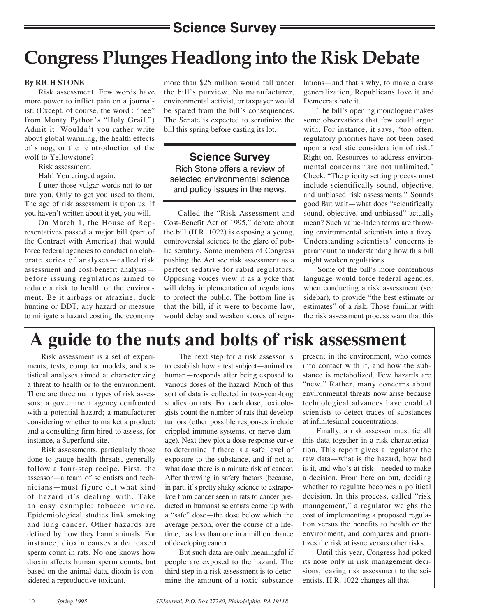## **Science Survey =**

# **Congress Plunges Headlong into the Risk Debate**

#### **By RICH STONE**

Risk assessment. Few words have more power to inflict pain on a journalist. (Except, of course, the word : "nee" from Monty Python's "Holy Grail.") Admit it: Wouldn't you rather write about global warming, the health effects of smog, or the reintroduction of the wolf to Yellowstone?

Risk assessment.

Hah! You cringed again.

I utter those vulgar words not to torture you. Only to get you used to them. The age of risk assessment is upon us. If you haven't written about it yet, you will.

On March 1, the House of Representatives passed a major bill (part of the Contract with America) that would force federal agencies to conduct an elaborate series of analyses—called risk assessment and cost-benefit analysis before issuing regulations aimed to reduce a risk to health or the environment. Be it airbags or atrazine, duck hunting or DDT, any hazard or measure to mitigate a hazard costing the economy

more than \$25 million would fall under the bill's purview. No manufacturer, environmental activist, or taxpayer would be spared from the bill's consequences. The Senate is expected to scrutinize the bill this spring before casting its lot.

### **Science Survey**

Rich Stone offers a review of selected environmental science and policy issues in the news.

Called the "Risk Assessment and Cost-Benefit Act of 1995," debate about the bill (H.R. 1022) is exposing a young, controversial science to the glare of public scrutiny. Some members of Congress pushing the Act see risk assessment as a perfect sedative for rabid regulators. Opposing voices view it as a yoke that will delay implementation of regulations to protect the public. The bottom line is that the bill, if it were to become law, would delay and weaken scores of regulations—and that's why, to make a crass generalization, Republicans love it and Democrats hate it.

The bill's opening monologue makes some observations that few could argue with. For instance, it says, "too often, regulatory priorities have not been based upon a realistic consideration of risk." Right on. Resources to address environmental concerns "are not unlimited." Check. "The priority setting process must include scientifically sound, objective, and unbiased risk assessments." Sounds good.But wait—what does "scientifically sound, objective, and unbiased" actually mean? Such value-laden terms are throwing environmental scientists into a tizzy. Understanding scientists' concerns is paramount to understanding how this bill might weaken regulations.

Some of the bill's more contentious language would force federal agencies, when conducting a risk assessment (see sidebar), to provide "the best estimate or estimates" of a risk. Those familiar with the risk assessment process warn that this

## **A guide to the nuts and bolts of risk assessment**

Risk assessment is a set of experiments, tests, computer models, and statistical analyses aimed at characterizing a threat to health or to the environment. There are three main types of risk assessors: a government agency confronted with a potential hazard; a manufacturer considering whether to market a product; and a consulting firm hired to assess, for instance, a Superfund site.

Risk assessments, particularly those done to gauge health threats, generally follow a four-step recipe. First, the assessor—a team of scientists and technicians—must figure out what kind of hazard it's dealing with. Take an easy example: tobacco smoke. Epidemiological studies link smoking and lung cancer. Other hazards are defined by how they harm animals. For instance, dioxin causes a decreased sperm count in rats. No one knows how dioxin affects human sperm counts, but based on the animal data, dioxin is considered a reproductive toxicant.

The next step for a risk assessor is to establish how a test subject—animal or human—responds after being exposed to various doses of the hazard. Much of this sort of data is collected in two-year-long studies on rats. For each dose, toxicologists count the number of rats that develop tumors (other possible responses include crippled immune systems, or nerve damage). Next they plot a dose-response curve to determine if there is a safe level of exposure to the substance, and if not at what dose there is a minute risk of cancer. After throwing in safety factors (because, in part, it's pretty shaky science to extrapolate from cancer seen in rats to cancer predicted in humans) scientists come up with a "safe" dose—the dose below which the average person, over the course of a lifetime, has less than one in a million chance of developing cancer.

But such data are only meaningful if people are exposed to the hazard. The third step in a risk assessment is to determine the amount of a toxic substance present in the environment, who comes into contact with it, and how the substance is metabolized. Few hazards are "new." Rather, many concerns about environmental threats now arise because technological advances have enabled scientists to detect traces of substances at infinitesimal concentrations.

Finally, a risk assessor must tie all this data together in a risk characterization. This report gives a regulator the raw data—what is the hazard, how bad is it, and who's at risk—needed to make a decision. From here on out, deciding whether to regulate becomes a political decision. In this process, called "risk management," a regulator weighs the cost of implementing a proposed regulation versus the benefits to health or the environment, and compares and prioritizes the risk at issue versus other risks.

Until this year, Congress had poked its nose only in risk management decisions, leaving risk assessment to the scientists. H.R. 1022 changes all that.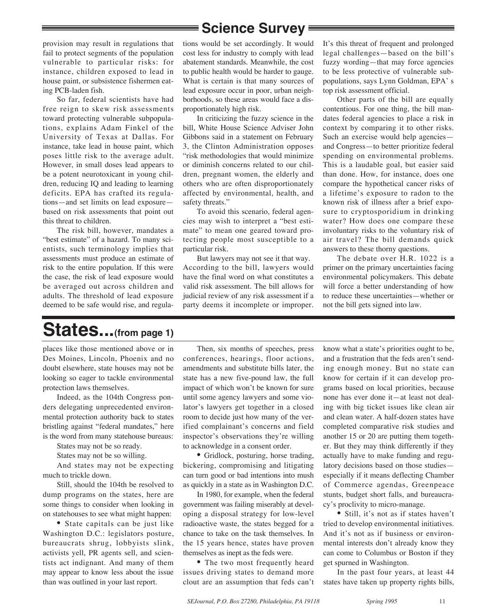## **Science Survey**

provision may result in regulations that fail to protect segments of the population vulnerable to particular risks: for instance, children exposed to lead in house paint, or subsistence fishermen eating PCB-laden fish.

So far, federal scientists have had free reign to skew risk assessments toward protecting vulnerable subpopulations, explains Adam Finkel of the University of Texas at Dallas. For instance, take lead in house paint, which poses little risk to the average adult. However, in small doses lead appears to be a potent neurotoxicant in young children, reducing IQ and leading to learning deficits. EPA has crafted its regulations—and set limits on lead exposure based on risk assessments that point out this threat to children.

The risk bill, however, mandates a "best estimate" of a hazard. To many scientists, such terminology implies that assessments must produce an estimate of risk to the entire population. If this were the case, the risk of lead exposure would be averaged out across children and adults. The threshold of lead exposure deemed to be safe would rise, and regulations would be set accordingly. It would cost less for industry to comply with lead abatement standards. Meanwhile, the cost to public health would be harder to gauge. What is certain is that many sources of lead exposure occur in poor, urban neighborhoods, so these areas would face a disproportionately high risk.

In criticizing the fuzzy science in the bill, White House Science Adviser John Gibbons said in a statement on February 3, the Clinton Administration opposes "risk methodologies that would minimize or diminish concerns related to our children, pregnant women, the elderly and others who are often disproportionately affected by environmental, health, and safety threats."

To avoid this scenario, federal agencies may wish to interpret a "best estimate" to mean one geared toward protecting people most susceptible to a particular risk.

But lawyers may not see it that way. According to the bill, lawyers would have the final word on what constitutes a valid risk assessment. The bill allows for judicial review of any risk assessment if a party deems it incomplete or improper. It's this threat of frequent and prolonged legal challenges—based on the bill's fuzzy wording—that may force agencies to be less protective of vulnerable subpopulations, says Lynn Goldman, EPA' s top risk assessment official.

Other parts of the bill are equally contentious. For one thing, the bill mandates federal agencies to place a risk in context by comparing it to other risks. Such an exercise would help agencies and Congress—to better prioritize federal spending on environmental problems. This is a laudable goal, but easier said than done. How, for instance, does one compare the hypothetical cancer risks of a lifetime's exposure to radon to the known risk of illness after a brief exposure to cryptosporidium in drinking water? How does one compare these involuntary risks to the voluntary risk of air travel? The bill demands quick answers to these thorny questions.

The debate over H.R. 1022 is a primer on the primary uncertainties facing environmental policymakers. This debate will force a better understanding of how to reduce these uncertainties—whether or not the bill gets signed into law.

## **States...(from page 1)**

places like those mentioned above or in Des Moines, Lincoln, Phoenix and no doubt elsewhere, state houses may not be looking so eager to tackle environmental protection laws themselves.

Indeed, as the 104th Congress ponders delegating unprecedented environmental protection authority back to states bristling against "federal mandates," here is the word from many statehouse bureaus:

States may not be so ready.

States may not be so willing.

And states may not be expecting much to trickle down.

Still, should the 104th be resolved to dump programs on the states, here are some things to consider when looking in on statehouses to see what might happen:

• State capitals can be just like Washington D.C.: legislators posture, bureaucrats shrug, lobbyists slink, activists yell, PR agents sell, and scientists act indignant. And many of them may appear to know less about the issue than was outlined in your last report.

Then, six months of speeches, press conferences, hearings, floor actions, amendments and substitute bills later, the state has a new five-pound law, the full impact of which won't be known for sure until some agency lawyers and some violator's lawyers get together in a closed room to decide just how many of the verified complainant's concerns and field inspector's observations they're willing to acknowledge in a consent order.

• Gridlock, posturing, horse trading, bickering, compromising and litigating can turn good or bad intentions into mush as quickly in a state as in Washington D.C.

In 1980, for example, when the federal government was failing miserably at developing a disposal strategy for low-level radioactive waste, the states begged for a chance to take on the task themselves. In the 15 years hence, states have proven themselves as inept as the feds were.

• The two most frequently heard issues driving states to demand more clout are an assumption that feds can't know what a state's priorities ought to be, and a frustration that the feds aren't sending enough money. But no state can know for certain if it can develop programs based on local priorities, because none has ever done it—at least not dealing with big ticket issues like clean air and clean water. A half-dozen states have completed comparative risk studies and another 15 or 20 are putting them together. But they may think differently if they actually have to make funding and regulatory decisions based on those studies especially if it means deflecting Chamber of Commerce agendas, Greenpeace stunts, budget short falls, and bureaucracy's proclivity to micro-manage.

• Still, it's not as if states haven't tried to develop environmental initiatives. And it's not as if business or environmental interests don't already know they can come to Columbus or Boston if they get spurned in Washington.

In the past four years, at least 44 states have taken up property rights bills,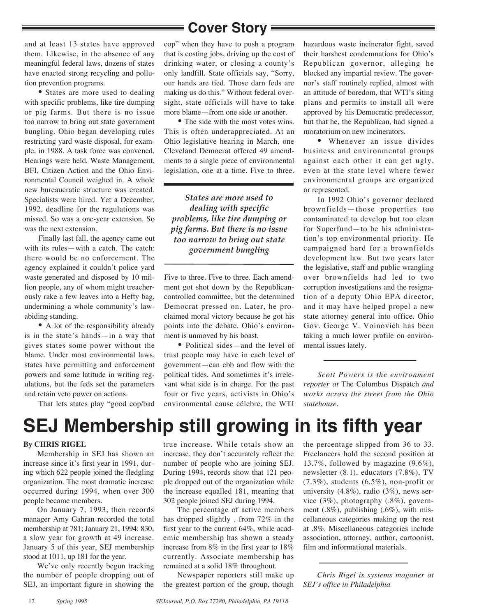and at least 13 states have approved them. Likewise, in the absence of any meaningful federal laws, dozens of states have enacted strong recycling and pollution prevention programs.

• States are more used to dealing with specific problems, like tire dumping or pig farms. But there is no issue too narrow to bring out state government bungling. Ohio began developing rules restricting yard waste disposal, for example, in 1988. A task force was convened. Hearings were held. Waste Management, BFI, Citizen Action and the Ohio Environmental Council weighed in. A whole new bureaucratic structure was created. Specialists were hired. Yet a December, 1992, deadline for the regulations was missed. So was a one-year extension. So was the next extension.

Finally last fall, the agency came out with its rules—with a catch. The catch: there would be no enforcement. The agency explained it couldn't police yard waste generated and disposed by 10 million people, any of whom might treacherously rake a few leaves into a Hefty bag, undermining a whole community's lawabiding standing.

• A lot of the responsibility already is in the state's hands—in a way that gives states some power without the blame. Under most environmental laws, states have permitting and enforcement powers and some latitude in writing regulations, but the feds set the parameters and retain veto power on actions.

That lets states play "good cop/bad

cop" when they have to push a program that is costing jobs, driving up the cost of drinking water, or closing a county's only landfill. State officials say, "Sorry, our hands are tied. Those darn feds are making us do this." Without federal oversight, state officials will have to take more blame—from one side or another.

• The side with the most votes wins. This is often underappreciated. At an Ohio legislative hearing in March, one Cleveland Democrat offered 49 amendments to a single piece of environmental legislation, one at a time. Five to three.

*States are more used to dealing with specific problems, like tire dumping or pig farms. But there is no issue too narrow to bring out state government bungling*

Five to three. Five to three. Each amendment got shot down by the Republicancontrolled committee, but the determined Democrat pressed on. Later, he proclaimed moral victory because he got his points into the debate. Ohio's environment is unmoved by his boast.

• Political sides—and the level of trust people may have in each level of government—can ebb and flow with the political tides. And sometimes it's irrelevant what side is in charge. For the past four or five years, activists in Ohio's environmental cause célebre, the WTI

hazardous waste incinerator fight, saved their harshest condemnations for Ohio's Republican governor, alleging he blocked any impartial review. The governor's staff routinely replied, almost with an attitude of boredom, that WTI's siting plans and permits to install all were approved by his Democratic predecessor, but that he, the Republican, had signed a moratorium on new incinerators.

• Whenever an issue divides business and environmental groups against each other it can get ugly, even at the state level where fewer environmental groups are organized or represented.

In 1992 Ohio's governor declared brownfields—those properties too contaminated to develop but too clean for Superfund—to be his administration's top environmental priority. He campaigned hard for a brownfields development law. But two years later the legislative, staff and public wrangling over brownfields had led to two corruption investigations and the resignation of a deputy Ohio EPA director, and it may have helped propel a new state attorney general into office. Ohio Gov. George V. Voinovich has been taking a much lower profile on environmental issues lately.

*Scott Powers is the environment reporter at* The Columbus Dispatch *and works across the street from the Ohio statehouse.* 

# **SEJ Membership still growing in its fifth year**

#### **By CHRIS RIGEL**

Membership in SEJ has shown an increase since it's first year in 1991, during which 622 people joined the fledgling organization. The most dramatic increase occurred during 1994, when over 300 people became members.

On January 7, 1993, then records manager Amy Gahran recorded the total membership at 781; January 21, 1994: 830, a slow year for growth at 49 increase. January 5 of this year, SEJ membership stood at 1011, up 181 for the year.

We've only recently begun tracking the number of people dropping out of SEJ, an important figure in showing the true increase. While totals show an increase, they don't accurately reflect the number of people who are joining SEJ. During 1994, records show that 121 people dropped out of the organization while the increase equalled 181, meaning that 302 people joined SEJ during 1994.

The percentage of active members has dropped slightly , from 72% in the first year to the current 64%, while academic membership has shown a steady increase from 8% in the first year to 18% currently. Associate membership has remained at a solid 18% throughout.

Newspaper reporters still make up the greatest portion of the group, though the percentage slipped from 36 to 33. Freelancers hold the second position at 13.7%, followed by magazine (9.6%), newsletter (8.1), educators (7.8%), TV  $(7.3\%)$ , students  $(6.5\%)$ , non-profit or university (4.8%), radio (3%), news service (3%), photography (.8%), government  $(.8\%)$ , publishing  $(.6\%)$ , with miscellaneous categories making up the rest at .8%. Miscellaneous categories include association, attorney, author, cartoonist, film and informational materials.

*Chris Rigel is systems maganer at SEJ's office in Philadelphia*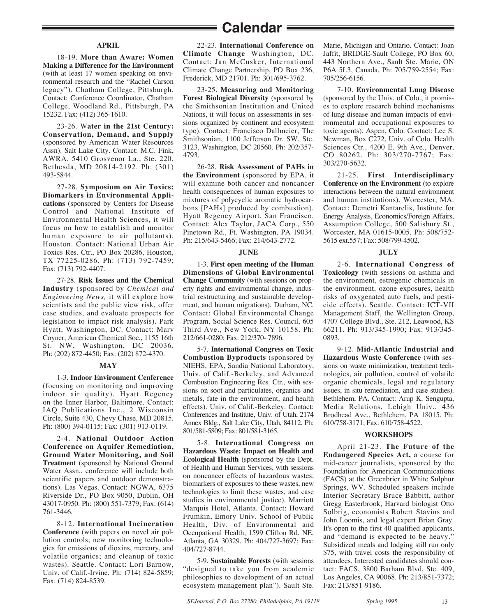## **Calendar**

#### **APRIL**

18-19. **More than Aware: Women Making a Difference for the Environment** (with at least 17 women speaking on environmental research and the "Rachel Carson legacy"). Chatham College, Pittsburgh. Contact: Conference Coordinator, Chatham College, Woodland Rd., Pittsburgh, PA 15232. Fax: (412) 365-1610.

23-26. W**ater in the 21st Century: Conservation, Demand, and Supply** (sponsored by American Water Resources Assn). Salt Lake City. Contact: M.C. Fink, AWRA, 5410 Grosvenor La., Ste. 220, Bethesda, MD 20814-2192. Ph: (301) 493-5844.

27-28. **Symposium on Air Toxics: Biomarkers in Environmental Applications** (sponsored by Centers for Disease Control and National Institute of Environmental Health Sciences, it will focus on how to establish and monitor human exposure to air pollutants). Houston. Contact: National Urban Air Toxics Res. Ctr., PO Box 20286, Houston, TX 77225-0286. Ph: (713) 792-7459; Fax: (713) 792-4407.

27-28. **Risk Issues and the Chemical Industry** (sponsored by *Chemical and Engineering News,* it will explore how scientists and the public view risk, offer case studies, and evaluate prospects for legislation to impact risk analysis). Park Hyatt, Washington, DC. Contact: Marv Coyner, American Chemical Soc., 1155 16th St. NW, Washington, DC 20036. Ph: (202) 872-4450; Fax: (202) 872-4370.

#### **MAY**

1-3. **Indoor Environment Cenference** (focusing on monitoring and improving indoor air quality). Hyatt Regency on the Inner Harbor, Baltimore. Contact: IAQ Publications Inc., 2 Wisconsin Circle, Suite 430, Chevy Chase, MD 20815. Ph: (800) 394-0115; Fax: (301) 913-0119.

2-4. **National Outdoor Action Conference on Aquifer Remediation, Ground Water Monitoring, and Soil Treatment** (sponsored by National Ground Water Assn., conference will include both scientific papers and outdoor demonstrations). Las Vegas. Contact: NGWA, 6375 Riverside Dr., PO Box 9050, Dublin, OH 43017-0950. Ph: (800) 551-7379; Fax: (614) 761-3446.

8-12. **International Incineration Conference** (with papers on novel air pollution controls; new monitoring technologies for emissions of dioxins, mercury, and volatile organics; and cleanup of toxic wastes). Seattle. Contact: Lori Barnow, Univ. of Calif.-Irvine. Ph: (714) 824-5859; Fax: (714) 824-8539.

22-23. **International Conference on Climate Change** Washington, DC. Contact: Jan McCusker, International Climate Change Partnership, PO Box 236, Frederick, MD 21701. Ph: 301/695-3762.

23-25. **Measuring and Monitoring Forest Biological Diversity** (sponsored by the Smithsonian Institution and United Nations, it will focus on assessments in sessions organized by continent and ecosystem type). Contact: Francisco Dallmeier, The Smithsonian, 1100 Jefferson Dr. SW, Ste. 3123, Washington, DC 20560. Ph: 202/357- 4793.

26-28. **Risk Assessment of PAHs in the Environment** (sponsored by EPA, it will examine both cancer and noncancer health consequences of human exposures to mixtures of polycyclic aromatic hydrocarbons [PAHs] produced by combustion). Hyatt Regency Airport, San Francisco. Contact: Alex Taylor, JACA Corp., 550 Pinetown Rd., Ft. Washington, PA 19034. Ph: 215/643-5466; Fax: 214/643-2772.

#### **JUNE**

1-3. **First open meeting of the Human Dimensions of Global Environmental Change Community** (with sessions on property rights and environmental change, industrial restructuring and sustainable development, and human migrations). Durham, NC. Contact: Global Environmental Change Program, Social Science Res. Council, 605 Third Ave., New York, NY 10158. Ph: 212/661-0280; Fax: 212/370- 7896.

5-7. **International Congress on Toxic Combustion Byproducts** (sponsored by NIEHS, EPA, Sandia National Laboratory, Univ. of Calif.-Berkeley, and Advanced Combustion Engineering Res. Ctr., with sessions on soot and particulates, organics and metals, fate in the environment, and health effects). Univ. of Calif.-Berkeley. Contact: Conferences and Institute, Univ. of Utah, 2174 Annex Bldg., Salt Lake City, Utah, 84112. Ph: 801/581-5809; Fax: 801/581-3165.

5-8. **International Congress on Hazardous Waste: Impact on Health and Ecological Health** (sponsored by the Dept. of Health and Human Services, with sessions on noncancer effects of hazardous wastes, biomarkers of exposures to these wastes, new technologies to limit these wastes, and case studies in environmental justice). Marriott Marquis Hotel, Atlanta. Contact: Howard Frumkin, Emory Univ. School of Public Health, Div. of Environmental and Occupational Health, 1599 Clifton Rd. NE, Atlanta, GA 30329. Ph: 404/727-3697; Fax: 404/727-8744.

5-9. **Sustainable Forests** (with sessions "designed to take you from academic philosophies to development of an actual ecosystem management plan"). Sault Ste. Marie, Michigan and Ontario. Contact: Joan Jaffit, BRIDGE-Sault College, PO Box 60, 443 Northern Ave., Sault Ste. Marie, ON P6A 5L3, Canada. Ph: 705/759-2554; Fax: 705/256-6156.

7-10. **Environmental Lung Disease** (sponsored by the Univ. of Colo., it promises to explore research behind mechanisms of lung disease and human impacts of environmental and occupational exposures to toxic agents). Aspen, Colo. Contact: Lee S. Newman, Box C272, Univ. of Colo. Health Sciences Ctr., 4200 E. 9th Ave., Denver, CO 80262. Ph: 303/270-7767; Fax: 303/270-5632.

21-25. **First Interdisciplinary Conference on the Environment** (to explore interactions between the natural environment and human institutions). Worcester, MA. Contact: Demetri Kantarelis, Institute for Energy Analysis, Economics/Foreign Affairs, Assumption College, 500 Salisbury St., Worcester, MA 01615-0005. Ph: 508/752- 5615 ext.557; Fax: 508/799-4502.

#### **JULY**

2-6. **International Congress of Toxicology** (with sessions on asthma and the environment, estrogenic chemicals in the environment, ozone exposures, health risks of oxygenated auto fuels, and pesticide effects). Seattle. Contact: ICT-VII Management Staff, the Wellington Group, 4707 College Blvd., Ste. 212, Leawood, KS 66211. Ph: 913/345-1990; Fax: 913/345- 0893.

9-12. **Mid-Atlantic Industrial and Hazardous Waste Conference** (with sessions on waste minimization, treatment technologies, air pollution, control of volatile organic chemicals, legal and regulatory issues, in situ remediation, and case studies). Bethlehem, PA. Contact: Arup K. Sengupta, Media Relations, Lehigh Univ., 436 Brodhead Ave., Bethlehem, PA 18015. Ph: 610/758-3171; Fax: 610/758-4522.

#### **WORKSHOPS**

April 21-23. **The Future of the Endangered Species Act,** a course for mid-career journalists, sponsored by the Foundation for American Communications (FACS) at the Greenbrier in White Sulphur Springs, WV. Scheduled speakers include Interior Secretary Bruce Babbitt, author Gregg Easterbrook, Harvard biologist Otto Solbrig, economists Robert Stavins and John Loomis, and legal expert Brian Gray. It's open to the first 40 qualified applicants, and "demand is expected to be heavy." Subsidized meals and lodging still run only \$75, with travel costs the responsibility of attendees. Interested candidates should contact: FACS, 3800 Barham Blvd, Ste. 409, Los Angeles, CA 90068. Ph: 213/851-7372; Fax: 213/851-9186.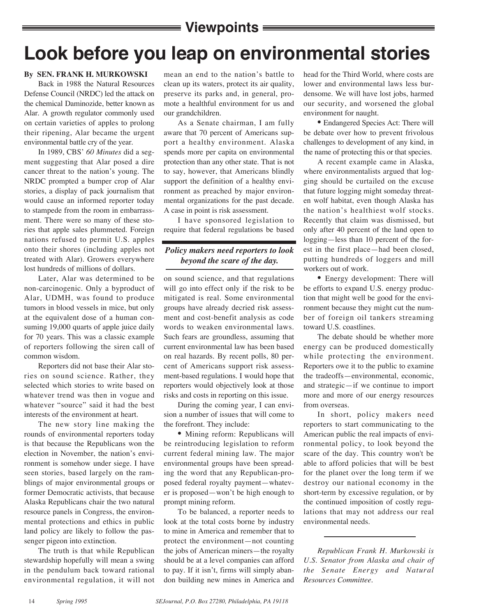## **Viewpoints**

# **Look before you leap on environmental stories**

#### **By SEN. FRANK H. MURKOWSKI**

Back in 1988 the Natural Resources Defense Council (NRDC) led the attack on the chemical Daminozide, better known as Alar. A growth regulator commonly used on certain varieties of apples to prolong their ripening, Alar became the urgent environmental battle cry of the year.

In 1989, CBS' *60 Minutes* did a segment suggesting that Alar posed a dire cancer threat to the nation's young. The NRDC prompted a bumper crop of Alar stories, a display of pack journalism that would cause an informed reporter today to stampede from the room in embarrassment. There were so many of these stories that apple sales plummeted. Foreign nations refused to permit U.S. apples onto their shores (including apples not treated with Alar). Growers everywhere lost hundreds of millions of dollars.

Later, Alar was determined to be non-carcinogenic. Only a byproduct of Alar, UDMH, was found to produce tumors in blood vessels in mice, but only at the equivalent dose of a human consuming 19,000 quarts of apple juice daily for 70 years. This was a classic example of reporters following the siren call of common wisdom.

Reporters did not base their Alar stories on sound science. Rather, they selected which stories to write based on whatever trend was then in vogue and whatever "source" said it had the best interests of the environment at heart.

The new story line making the rounds of environmental reporters today is that because the Republicans won the election in November, the nation's environment is somehow under siege. I have seen stories, based largely on the ramblings of major environmental groups or former Democratic activists, that because Alaska Republicans chair the two natural resource panels in Congress, the environmental protections and ethics in public land policy are likely to follow the passenger pigeon into extinction.

The truth is that while Republican stewardship hopefully will mean a swing in the pendulum back toward rational environmental regulation, it will not

mean an end to the nation's battle to clean up its waters, protect its air quality, preserve its parks and, in general, promote a healthful environment for us and our grandchildren.

As a Senate chairman, I am fully aware that 70 percent of Americans support a healthy environment. Alaska spends more per capita on environmental protection than any other state. That is not to say, however, that Americans blindly support the definition of a healthy environment as preached by major environmental organizations for the past decade. A case in point is risk assessment.

I have sponsored legislation to require that federal regulations be based

### *Policy makers need reporters to look beyond the scare of the day.*

on sound science, and that regulations will go into effect only if the risk to be mitigated is real. Some environmental groups have already decried risk assessment and cost-benefit analysis as code words to weaken environmental laws. Such fears are groundless, assuming that current environmental law has been based on real hazards. By recent polls, 80 percent of Americans support risk assessment-based regulations. I would hope that reporters would objectively look at those risks and costs in reporting on this issue.

During the coming year, I can envision a number of issues that will come to the forefront. They include:

• Mining reform: Republicans will be reintroducing legislation to reform current federal mining law. The major environmental groups have been spreading the word that any Republican-proposed federal royalty payment—whatever is proposed—won't be high enough to prompt mining reform.

To be balanced, a reporter needs to look at the total costs borne by industry to mine in America and remember that to protect the environment—not counting the jobs of American miners—the royalty should be at a level companies can afford to pay. If it isn't, firms will simply abandon building new mines in America and

head for the Third World, where costs are lower and environmental laws less burdensome. We will have lost jobs, harmed our security, and worsened the global environment for naught.

• Endangered Species Act: There will be debate over how to prevent frivolous challenges to development of any kind, in the name of protecting this or that species.

A recent example came in Alaska, where environmentalists argued that logging should be curtailed on the excuse that future logging might someday threaten wolf habitat, even though Alaska has the nation's healthiest wolf stocks. Recently that claim was dismissed, but only after 40 percent of the land open to logging—less than 10 percent of the forest in the first place—had been closed, putting hundreds of loggers and mill workers out of work.

• Energy development: There will be efforts to expand U.S. energy production that might well be good for the environment because they might cut the number of foreign oil tankers streaming toward U.S. coastlines.

The debate should be whether more energy can be produced domestically while protecting the environment. Reporters owe it to the public to examine the tradeoffs—environmental, economic, and strategic—if we continue to import more and more of our energy resources from overseas.

In short, policy makers need reporters to start communicating to the American public the real impacts of environmental policy, to look beyond the scare of the day. This country won't be able to afford policies that will be best for the planet over the long term if we destroy our national economy in the short-term by excessive regulation, or by the continued imposition of costly regulations that may not address our real environmental needs.

*Republican Frank H. Murkowski is U.S. Senator from Alaska and chair of the Senate Energy and Natural Resources Committee.*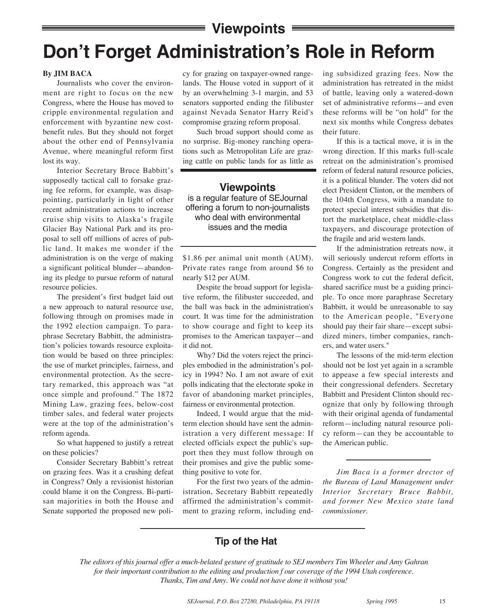### **Viewpoints**

# **Don't Forget Administration's Role in Reform**

#### **By JIM BACA**

Journalists who cover the environment are right to focus on the new Congress, where the House has moved to cripple environmental regulation and enforcement with byzantine new costbenefit rules. But they should not forget about the other end of Pennsylvania Avenue, where meaningful reform first lost its way.

Interior Secretary Bruce Babbitt's supposedly tactical call to forsake grazing fee reform, for example, was disappointing, particularly in light of other recent administration actions to increase cruise ship visits to Alaska's fragile Glacier Bay National Park and its proposal to sell off millions of acres of public land. It makes me wonder if the administration is on the verge of making a significant political blunder—abandoning its pledge to pursue reform of natural resource policies.

The president's first budget laid out a new approach to natural resource use, following through on promises made in the 1992 election campaign. To paraphrase Secretary Babbitt, the administration's policies towards resource exploitation would be based on three principles: the use of market principles, fairness, and environmental protection. As the secretary remarked, this approach was "at once simple and profound." The 1872 Mining Law, grazing fees, below-cost timber sales, and federal water projects were at the top of the administration's reform agenda.

So what happened to justify a retreat on these policies?

Consider Secretary Babbitt's retreat on grazing fees. Was it a crushing defeat in Congress? Only a revisionist historian could blame it on the Congress. Bi-partisan majorities in both the House and Senate supported the proposed new policy for grazing on taxpayer-owned rangelands. The House voted in support of it by an overwhelming 3-1 margin, and 53 senators supported ending the filibuster against Nevada Senator Harry Reid's compromise grazing reform proposal.

Such broad support should come as no surprise. Big-money ranching operations such as Metropolitan Life are grazing cattle on public lands for as little as

**Viewpoints** is a regular feature of SEJournal offering a forum to non-journalists who deal with environmental issues and the media

\$1.86 per animal unit month (AUM). Private rates range from around \$6 to nearly \$12 per AUM.

Despite the broad support for legislative reform, the filibuster succeeded, and the ball was back in the administration's court. It was time for the administration to show courage and fight to keep its promises to the American taxpayer—and it did not.

Why? Did the voters reject the principles embodied in the administration's policy in 1994? No. I am not aware of exit polls indicating that the electorate spoke in favor of abandoning market principles, fairness or environmental protection.

Indeed, I would argue that the midterm election should have sent the administration a very different message: If elected officials expect the public's support then they must follow through on their promises and give the public something positive to vote for.

For the first two years of the administration, Secretary Babbitt repeatedly affirmed the administration's commitment to grazing reform, including ending subsidized grazing fees. Now the administration has retreated in the midst of battle, leaving only a watered-down set of administrative reforms—and even these reforms will be "on hold" for the next six months while Congress debates their future.

If this is a tactical move, it is in the wrong direction. If this marks full-scale retreat on the administration's promised reform of federal natural resource policies, it is a political blunder. The voters did not elect President Clinton, or the members of the 104th Congress, with a mandate to protect special interest subsidies that distort the marketplace, cheat middle-class taxpayers, and discourage protection of the fragile and arid western lands.

If the administration retreats now, it will seriously undercut reform efforts in Congress. Certainly as the president and Congress work to cut the federal deficit, shared sacrifice must be a guiding principle. To once more paraphrase Secretary Babbitt, it would be unreasonable to say to the American people, "Everyone should pay their fair share—except subsidized miners, timber companies, ranchers, and water users."

The lessons of the mid-term election should not be lost yet again in a scramble to appease a few special interests and their congressional defenders. Secretary Babbitt and President Clinton should recognize that only by following through with their original agenda of fundamental reform—including natural resource policy reform—can they be accountable to the American public.

*Jim Baca is a former drector of the Bureau of Land Management under Interior Secretary Bruce Babbit, and former New Mexico state land commissioner.*

### **Tip of the Hat**

*The editors of this journal offer a much-belated gesture of gratitude to SEJ members Tim Wheeler and Amy Gahran for their important contribution to the editing and production f our coverage of the 1994 Utah conference. Thanks, Tim and Amy. We could not have done it without you!*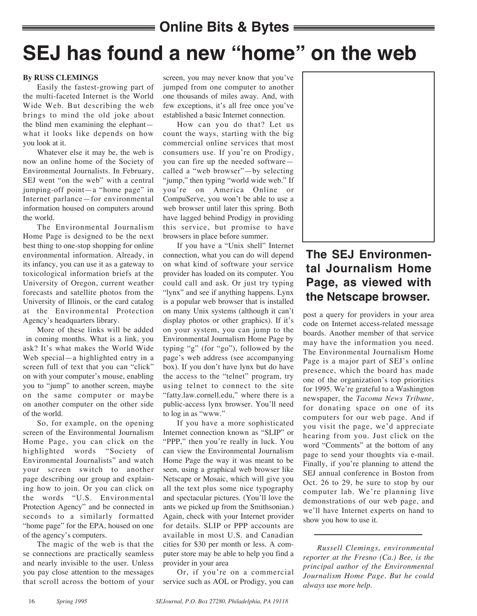## **Online Bits & Bytes**

# **SEJ has found a new "home" on the web**

#### **By RUSS CLEMINGS**

Easily the fastest-growing part of the multi-faceted Internet is the World Wide Web. But describing the web brings to mind the old joke about the blind men examining the elephant what it looks like depends on how you look at it.

Whatever else it may be, the web is now an online home of the Society of Environmental Journalists. In February, SEJ went "on the web" with a central jumping-off point—a "home page" in Internet parlance—for environmental information housed on computers around the world.

The Environmental Journalism Home Page is designed to be the next best thing to one-stop shopping for online environmental information. Already, in its infancy, you can use it as a gateway to toxicological information briefs at the University of Oregon, current weather forecasts and satellite photos from the University of Illinois, or the card catalog at the Environmental Protection Agency's headquarters library.

More of these links will be added in coming months. What is a link, you ask? It's what makes the World Wide Web special—a highlighted entry in a screen full of text that you can "click" on with your computer's mouse, enabling you to "jump" to another screen, maybe on the same computer or maybe on another computer on the other side of the world.

So, for example, on the opening screen of the Environmental Journalism Home Page, you can click on the highlighted words "Society of Environmental Journalists" and watch your screen switch to another page describing our group and explaining how to join. Or you can click on the words "U.S. Environmental Protection Agency" and be connected in seconds to a similarly formatted "home page" for the EPA, housed on one of the agency's computers.

The magic of the web is that the se connections are practically seamless and nearly invisible to the user. Unless you pay close attention to the messages that scroll across the bottom of your

screen, you may never know that you've jumped from one computer to another one thousands of miles away. And, with few exceptions, it's all free once you've established a basic Internet connection.

How can you do that? Let us count the ways, starting with the big commercial online services that most consumers use. If you're on Prodigy, you can fire up the needed software called a "web browser"—by selecting "jump," then typing "world wide web." If you're on America Online or CompuServe, you won't be able to use a web browser until later this spring. Both have lagged behind Prodigy in providing this service, but promise to have browsers in place before summer.

If you have a "Unix shell" Internet connection, what you can do will depend on what kind of software your service provider has loaded on its computer. You could call and ask. Or just try typing "lynx" and see if anything happens. Lynx is a popular web browser that is installed on many Unix systems (although it can't display photos or other graphics). If it's on your system, you can jump to the Environmental Journalism Home Page by typing "g" (for "go"), followed by the page's web address (see accompanying box). If you don't have lynx but do have the access to the "telnet" program, try using telnet to connect to the site "fatty.law.cornell.edu," where there is a public-access lynx browser. You'll need to log in as "www."

If you have a more sophisticated Internet connection known as "SLIP" or "PPP," then you're really in luck. You can view the Environmental Journalism Home Page the way it was meant to be seen, using a graphical web browser like Netscape or Mosaic, which will give you all the text plus some nice typography and spectacular pictures. (You'll love the ants we picked up from the Smithsonian.) Again, check with your Internet provider for details. SLIP or PPP accounts are available in most U.S. and Canadian cities for \$30 per month or less. A computer store may be able to help you find a provider in your area

Or, if you're on a commercial service such as AOL or Prodigy, you can



## **The SEJ Environmental Journalism Home Page, as viewed with the Netscape browser.**

post a query for providers in your area code on Internet access-related message boards. Another member of that service may have the information you need. The Environmental Journalism Home Page is a major part of SEJ's online presence, which the board has made one of the organization's top priorities for 1995. We're grateful to a Washington newspaper, the *Tacoma News Tribune,* for donating space on one of its computers for our web page. And if you visit the page, we'd appreciate hearing from you. Just click on the word "Comments" at the bottom of any page to send your thoughts via e-mail. Finally, if you're planning to attend the SEJ annual conference in Boston from Oct. 26 to 29, be sure to stop by our computer lab. We're planning live demonstrations of our web page, and we'll have Internet experts on hand to show you how to use it.

*Russell Clemings, environmental reporter at the Fresno (Ca.) Bee, is the principal author of the Environmental Journalism Home Page. But he could always use more help.*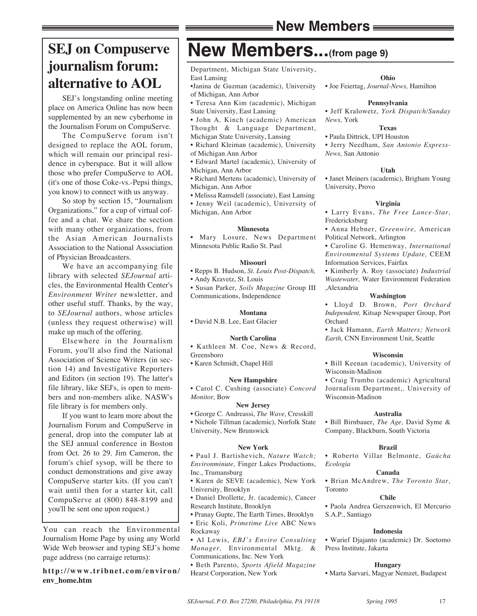## **SEJ on Compuserve journalism forum: alternative to AOL**

SEJ's longstanding online meeting place on America Online has now been supplemented by an new cyberhome in the Journalism Forum on CompuServe.

The CompuServe forum isn't designed to replace the AOL forum, which will remain our principal residence in cyberspace. But it will allow those who prefer CompuServe to AOL (it's one of those Coke-vs.-Pepsi things, you know) to connect with us anyway.

So stop by section 15, "Journalism Organizations," for a cup of virtual coffee and a chat. We share the section with many other organizations, from the Asian American Journalists Association to the National Association of Physician Broadcasters.

We have an accompanying file library with selected *SEJournal* articles, the Environmental Health Center's *Environment Writer* newsletter, and other useful stuff. Thanks, by the way, to *SEJournal* authors, whose articles (unless they request otherwise) will make up much of the offering.

Elsewhere in the Journalism Forum, you'll also find the National Association of Science Writers (in section 14) and Investigative Reporters and Editors (in section 19). The latter's file library, like SEJ's, is open to members and non-members alike. NASW's file library is for members only.

If you want to learn more about the Journalism Forum and CompuServe in general, drop into the computer lab at the SEJ annual conference in Boston from Oct. 26 to 29. Jim Cameron, the forum's chief sysop, will be there to conduct demonstrations and give away CompuServe starter kits. (If you can't wait until then for a starter kit, call CompuServe at (800) 848-8199 and you'll be sent one upon request.)

You can reach the Environmental Journalism Home Page by using any World Wide Web browser and typing SEJ's home page address (no carraige returns):

**http://www.tribnet.com/environ/ env\_home.htm**

# **New Members...(from page 9)**

Department, Michigan State University,

East Lansing

- •Janina de Guzman (academic), University of Michigan, Ann Arbor
- Teresa Ann Kim (academic), Michigan
- State University, East Lansing • John A. Kinch (academic) American
- Thought & Language Department,
- Michigan State University, Lansing • Richard Kleiman (academic), University
- of Michigan Ann Arbor
- Edward Martel (academic), University of Michigan, Ann Arbor
- Richard Mertens (academic), University of Michigan, Ann Arbor
- Melissa Ramsdell (associate), East Lansing
- Jenny Weil (academic), University of Michigan, Ann Arbor

#### **Minnesota**

• Mary Losure, News Department Minnesota Public Radio St. Paul

#### **Missouri**

• Repps B. Hudson, *St. Louis Post-Dispatch,*

• Andy Kravetz, St. Louis

• Susan Parker, *Soils Magazine* Group III Communications, Independence

#### **Montana**

• David N.B. Lee, East Glacier

#### **North Carolina**

• Kathleen M. Coe, News & Record, Greensboro

• Karen Schmidt, Chapel Hill

#### **New Hampshire**

• Carol C. Cushing (associate) *Concord Monitor,* Bow

#### **New Jersey**

• George C. Andreassi, *The Wave,* Cresskill • Nichole Tillman (academic), Norfolk State University, New Brunswick

#### **New York**

• Paul J. Bartishevich, *Nature Watch; Environminute,* Finger Lakes Productions, Inc., Trumansburg

- Karen de SEVE (academic), New York University, Brooklyn
- Daniel Drollette, Jr. (academic), Cancer Research Institute, Brooklyn
- Pranay Gupte, The Earth Times, Brooklyn
- Eric Koli, *Primetime Live* ABC News Rockaway

• Al Lewis, *EBJ's Enviro Consulting Manager,* Environmental Mktg. & Communications, Inc. New York

• Beth Parento, *Sports Afield Magazine* Hearst Corporation, New York

#### **Ohio**

• Joe Feiertag, *Journal-News,* Hamilton

#### **Pennsylvania**

• Jeff Kralowetz, *York Dispatch/Sunday News,* York

#### **Texas**

• Paula Dittrick, UPI Houston

• Jerry Needham, *San Antonio Express-News,* San Antonio

#### **Utah**

• Janet Meiners (academic), Brigham Young University, Provo

#### **Virginia**

• Larry Evans, *The Free Lance-Star,* Fredericksburg

• Anna Hebner, *Greenwire,* American Political Network, Arlington

• Caroline G. Hemenway, *International Environmental Systems Update,* CEEM Information Services, Fairfax

• Kimberly A. Roy (associate) *Industrial Wastewater,* Water Environment Federation ,Alexandria

#### **Washington**

• Lloyd D. Brown, *Port Orchard Independent,* Kitsap Newspaper Group, Port Orchard

• Jack Hamann, *Earth Matters; Network Earth,* CNN Environment Unit, Seattle

#### **Wisconsin**

• Bill Keenan (academic), University of Wisconsin-Madison

• Craig Trumbo (academic) Agricultural Journalism Department,. University of Wisconsin-Madison

#### **Australia**

• Bill Birnbauer, *The Age,* David Syme & Company, Blackburn, South Victoria

#### **Brazil**

• Roberto Villar Belmonte, *Gaúcha Ecologia* 

#### **Canada**

• Brian McAndrew, *The Toronto Star,* Toronto

#### **Chile**

• Paola Andrea Gerszenwich, El Mercurio S.A.P., Santiago

#### **Indonesia**

• Warief Djajanto (academic) Dr. Soetomo Press Institute, Jakarta

#### **Hungary**

• Marta Sarvari, Magyar Nemzet, Budapest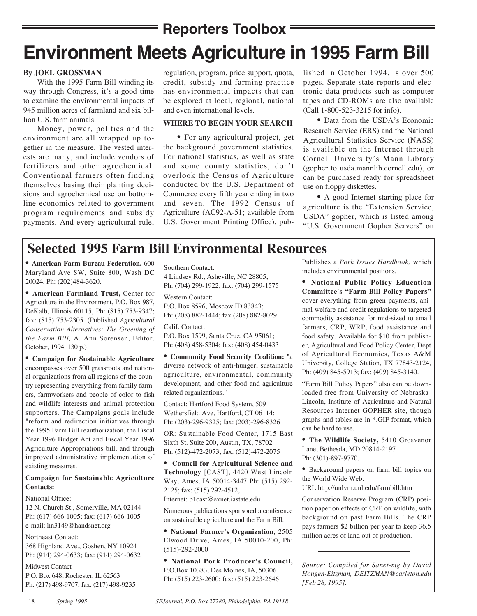### **Reporters Toolbox E**

# **Environment Meets Agriculture in 1995 Farm Bill**

#### **By JOEL GROSSMAN**

With the 1995 Farm Bill winding its way through Congress, it's a good time to examine the environmental impacts of 945 million acres of farmland and six billion U.S. farm animals.

Money, power, politics and the environment are all wrapped up together in the measure. The vested interests are many, and include vendors of fertilizers and other agrochemical. Conventional farmers often finding themselves basing their planting decisions and agrochemical use on bottomline economics related to government program requirements and subsidy payments. And every agricultural rule, regulation, program, price support, quota, credit, subsidy and farming practice has environmental impacts that can be explored at local, regional, national and even international levels.

#### **WHERE TO BEGIN YOUR SEARCH**

• For any agricultural project, get the background government statistics. For national statistics, as well as state and some county statistics, don't overlook the Census of Agriculture conducted by the U.S. Department of Commerce every fifth year ending in two and seven. The 1992 Census of Agriculture (AC92-A-51; available from U.S. Government Printing Office), published in October 1994, is over 500 pages. Separate state reports and electronic data products such as computer tapes and CD-ROMs are also available (Call 1-800-523-3215 for info).

• Data from the USDA's Economic Research Service (ERS) and the National Agricultural Statistics Service (NASS) is available on the Internet through Cornell University's Mann Library (gopher to usda.mannlib.cornell.edu), or can be purchased ready for spreadsheet use on floppy diskettes.

• A good Internet starting place for agriculture is the "Extension Service, USDA" gopher, which is listed among "U.S. Government Gopher Servers" on

## **Selected 1995 Farm Bill Environmental Resources**

• **American Farm Bureau Federation,** 600 Maryland Ave SW, Suite 800, Wash DC 20024, Ph: (202)484-3620.

• **American Farmland Trust,** Center for Agriculture in the Environment, P.O. Box 987, DeKalb, Illinois 60115, Ph: (815) 753-9347; fax: (815) 753-2305. (Published *Agricultural Conservation Alternatives: The Greening of the Farm Bill,* A. Ann Sorensen, Editor. October, 1994. 130 p.)

• **Campaign for Sustainable Agriculture** encompasses over 500 grassroots and national organizations from all regions of the country representing everything from family farmers, farmworkers and people of color to fish and wildlife interests and animal protection supporters. The Campaigns goals include "reform and redirection initiatives through the 1995 Farm Bill reauthorization, the Fiscal Year 1996 Budget Act and Fiscal Year 1996 Agriculture Appropriations bill, and through improved administrative implementation of existing measures.

#### **Campaign for Sustainable Agriculture Contacts:**

#### National Office:

12 N. Church St., Somerville, MA 02144 Ph: (617) 666-1005; fax: (617) 666-1005 e-mail: hn3149@handsnet.org

#### Northeast Contact:

368 Highland Ave., Goshen, NY 10924 Ph: (914) 294-0633; fax: (914) 294-0632

Midwest Contact P.O. Box 648, Rochester, IL 62563 Ph: (217) 498-9707; fax: (217) 498-9235

Southern Contact: 4 Lindsey Rd., Asheville, NC 28805; Ph: (704) 299-1922; fax: (704) 299-1575

Western Contact: P.O. Box 8596, Moscow ID 83843; Ph: (208) 882-1444; fax (208) 882-8029

Calif. Contact: P.O. Box 1599, Santa Cruz, CA 95061; Ph: (408) 458-5304; fax: (408) 454-0433

• **Community Food Security Coalition:** "a diverse network of anti-hunger, sustainable agriculture, environmental, community development, and other food and agriculture related organizations."

Contact: Hartford Food System, 509 Wethersfield Ave, Hartford, CT 06114; Ph: (203)-296-9325; fax: (203)-296-8326

OR: Sustainable Food Center, 1715 East Sixth St. Suite 200, Austin, TX, 78702 Ph: (512)-472-2073; fax: (512)-472-2075

• **Council for Agricultural Science and Technology** [CAST], 4420 West Lincoln Way, Ames, IA 50014-3447 Ph: (515) 292- 2125; fax: (515) 292-4512,

Internet: b1cast@exnet.iastate.edu

Numerous publications sponsored a conference on sustainable agriculture and the Farm Bill.

• **National Farmer's Organization,** 2505 Elwood Drive, Ames, IA 50010-200, Ph: (515)-292-2000

• **National Pork Producer's Council,** P.O.Box 10383, Des Moines, IA, 50306 Ph: (515) 223-2600; fax: (515) 223-2646

Publishes a *Pork Issues Handbook,* which includes environmental positions.

**• National Public Policy Education Committee's "Farm Bill Policy Papers"** cover everything from green payments, animal welfare and credit regulations to targeted commodity assistance for mid-sized to small farmers, CRP, WRP, food assistance and food safety. Available for \$10 from publisher, Agricultural and Food Policy Center, Dept of Agricultural Economics, Texas A&M University, College Station, TX 77843-2124, Ph: (409) 845-5913; fax: (409) 845-3140.

"Farm Bill Policy Papers" also can be downloaded free from University of Nebraska-Lincoln, Institute of Agriculture and Natural Resources Internet GOPHER site, though graphs and tables are in \*.GIF format, which can be hard to use.

• **The Wildlife Society,** 5410 Grosvenor Lane, Bethesda, MD 20814-2197 Ph: (301)-897-9770.

• Background papers on farm bill topics on the World Wide Web:

URL http://unlvm.unl.edu/farmbill.htm

Conservation Reserve Program (CRP) position paper on effects of CRP on wildlife, with background on past Farm Bills. The CRP pays farmers \$2 billion per year to keep 36.5 million acres of land out of production.

*Source: Compiled for Sanet-mg by David Hougen-Eitzman, DEITZMAN@carleton.edu [Feb 28, 1995].*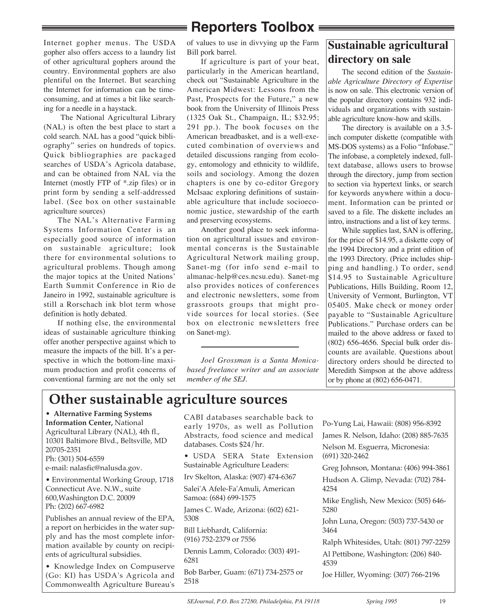## **Reporters Toolbox**

Internet gopher menus. The USDA gopher also offers access to a laundry list of other agricultural gophers around the country. Environmental gophers are also plentiful on the Internet. But searching the Internet for information can be timeconsuming, and at times a bit like searching for a needle in a haystack.

The National Agricultural Library (NAL) is often the best place to start a cold search. NAL has a good "quick bibliography" series on hundreds of topics. Quick bibliographies are packaged searches of USDA's Agricola database, and can be obtained from NAL via the Internet (mostly FTP of \*.zip files) or in print form by sending a self-addressed label. (See box on other sustainable agriculture sources)

The NAL's Alternative Farming Systems Information Center is an especially good source of information on sustainable agriculture; look there for environmental solutions to agricultural problems. Though among the major topics at the United Nations' Earth Summit Conference in Rio de Janeiro in 1992, sustainable agriculture is still a Rorschach ink blot term whose definition is hotly debated.

If nothing else, the environmental ideas of sustainable agriculture thinking offer another perspective against which to measure the impacts of the bill. It's a perspective in which the bottom-line maximum production and profit concerns of conventional farming are not the only set

of values to use in divvying up the Farm Bill pork barrel.

If agriculture is part of your beat, particularly in the American heartland, check out "Sustainable Agriculture in the American Midwest: Lessons from the Past, Prospects for the Future," a new book from the University of Illinois Press (1325 Oak St., Champaign, IL; \$32.95; 291 pp.). The book focuses on the American breadbasket, and is a well-executed combination of overviews and detailed discussions ranging from ecology, entomology and ethnicity to wildlife, soils and sociology. Among the dozen chapters is one by co-editor Gregory McIsaac exploring definitions of sustainable agriculture that include socioeconomic justice, stewardship of the earth and preserving ecosystems.

Another good place to seek information on agricultural issues and environmental concerns is the Sustainable Agricultural Network mailing group, Sanet-mg (for info send e-mail to almanac-help@ces.ncsu.edu). Sanet-mg also provides notices of conferences and electronic newsletters, some from grassroots groups that might provide sources for local stories. (See box on electronic newsletters free on Sanet-mg).

*Joel Grossman is a Santa Monicabased freelance writer and an associate member of the SEJ.*

### **Sustainable agricultural directory on sale**

The second edition of the *Sustainable Agriculture Directory of Expertise* is now on sale. This electronic version of the popular directory contains 932 individuals and organizations with sustainable agriculture know-how and skills.

The directory is available on a 3.5 inch computer diskette (compatible with MS-DOS systems) as a Folio "Infobase." The infobase, a completely indexed, fulltext database, allows users to browse through the directory, jump from section to section via hypertext links, or search for keywords anywhere within a document. Information can be printed or saved to a file. The diskette includes an intro, instructions and a list of key terms.

While supplies last, SAN is offering, for the price of \$14.95, a diskette copy of the 1994 Directory and a print edition of the 1993 Directory. (Price includes shipping and handling.) To order, send \$14.95 to Sustainable Agriculture Publications, Hills Building, Room 12, University of Vermont, Burlington, VT 05405. Make check or money order payable to "Sustainable Agriculture Publications." Purchase orders can be mailed to the above address or faxed to (802) 656-4656. Special bulk order discounts are available. Questions about directory orders should be directed to Meredith Simpson at the above address or by phone at (802) 656-0471.

## **Other sustainable agriculture sources**

• **Alternative Farming Systems**

**Information Center,** National Agricultural Library (NAL), 4th fl., 10301 Baltimore Blvd., Beltsville, MD 20705-2351 Ph: (301) 504-6559

e-mail: nalasfic@nalusda.gov.

• Environmental Working Group, 1718 Connecticut Ave. N.W., suite 600,Washington D.C. 20009 Ph: (202) 667-6982

Publishes an annual review of the EPA, a report on herbicides in the water supply and has the most complete information available by county on recipients of agricultural subsidies.

• Knowledge Index on Compuserve (Go: KI) has USDA's Agricola and Commonwealth Agriculture Bureau's

CABI databases searchable back to early 1970s, as well as Pollution Abstracts, food science and medical databases. Costs \$24/hr.

- USDA SERA State Extension Sustainable Agriculture Leaders:
- Irv Skelton, Alaska: (907) 474-6367

Salei'A Afele-Fa'Amuli, American Samoa: (684) 699-1575

James C. Wade, Arizona: (602) 621- 5308

Bill Liebhardt, California: (916) 752-2379 or 7556

Dennis Lamm, Colorado: (303) 491- 6281

Bob Barber, Guam: (671) 734-2575 or 2518

Po-Yung Lai, Hawaii: (808) 956-8392

James R. Nelson, Idaho: (208) 885-7635

Nelson M. Esguerra, Micronesia: (691) 320-2462

Greg Johnson, Montana: (406) 994-3861

Hudson A. Glimp, Nevada: (702) 784- 4254

Mike English, New Mexico: (505) 646- 5280

John Luna, Oregon: (503) 737-5430 or 3464

Ralph Whitesides, Utah: (801) 797-2259 Al Pettibone, Washington: (206) 840- 4539

Joe Hiller, Wyoming: (307) 766-2196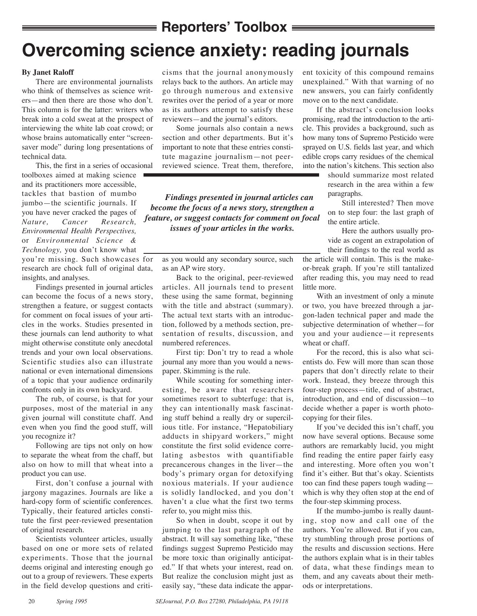## **Reporters' Toolbox** =

# **Overcoming science anxiety: reading journals**

#### **By Janet Raloff**

There are environmental journalists who think of themselves as science writers—and then there are those who don't. This column is for the latter: writers who break into a cold sweat at the prospect of interviewing the white lab coat crowd; or whose brains automatically enter "screensaver mode" during long presentations of technical data.

This, the first in a series of occasional

toolboxes aimed at making science and its practitioners more accessible, tackles that bastion of mumbo jumbo—the scientific journals. If you have never cracked the pages of *Nature, Cancer Research, Environmental Health Perspectives,* or *Environmental Science & Technology,* you don't know what you're missing. Such showcases for research are chock full of original data, insights, and analyses.

Findings presented in journal articles can become the focus of a news story, strengthen a feature, or suggest contacts for comment on focal issues of your articles in the works. Studies presented in these journals can lend authority to what might otherwise constitute only anecdotal trends and your own local observations. Scientific studies also can illustrate national or even international dimensions of a topic that your audience ordinarily confronts only in its own backyard.

The rub, of course, is that for your purposes, most of the material in any given journal will constitute chaff. And even when you find the good stuff, will you recognize it?

Following are tips not only on how to separate the wheat from the chaff, but also on how to mill that wheat into a product you can use.

First, don't confuse a journal with jargony magazines. Journals are like a hard-copy form of scientific conferences. Typically, their featured articles constitute the first peer-reviewed presentation of original research.

Scientists volunteer articles, usually based on one or more sets of related experiments. Those that the journal deems original and interesting enough go out to a group of reviewers. These experts in the field develop questions and criticisms that the journal anonymously relays back to the authors. An article may go through numerous and extensive rewrites over the period of a year or more as its authors attempt to satisfy these reviewers—and the journal's editors.

Some journals also contain a news section and other departments. But it's important to note that these entries constitute magazine journalism—not peerreviewed science. Treat them, therefore,

*Findings presented in journal articles can become the focus of a news story, strengthen a feature, or suggest contacts for comment on focal issues of your articles in the works.* 

as you would any secondary source, such as an AP wire story.

Back to the original, peer-reviewed articles. All journals tend to present these using the same format, beginning with the title and abstract (summary). The actual text starts with an introduction, followed by a methods section, presentation of results, discussion, and numbered references.

First tip: Don't try to read a whole journal any more than you would a newspaper. Skimming is the rule.

While scouting for something interesting, be aware that researchers sometimes resort to subterfuge: that is, they can intentionally mask fascinating stuff behind a really dry or supercilious title. For instance, "Hepatobiliary adducts in shipyard workers," might constitute the first solid evidence correlating asbestos with quantifiable precancerous changes in the liver—the body's primary organ for detoxifying noxious materials. If your audience is solidly landlocked, and you don't haven't a clue what the first two terms refer to, you might miss this.

So when in doubt, scope it out by jumping to the last paragraph of the abstract. It will say something like, "these findings suggest Supremo Pesticido may be more toxic than originally anticipated." If that whets your interest, read on. But realize the conclusion might just as easily say, "these data indicate the apparent toxicity of this compound remains unexplained." With that warning of no new answers, you can fairly confidently move on to the next candidate.

If the abstract's conclusion looks promising, read the introduction to the article. This provides a background, such as how many tons of Supremo Pesticido were sprayed on U.S. fields last year, and which edible crops carry residues of the chemical into the nation's kitchens. This section also

should summarize most related research in the area within a few paragraphs.

Still interested? Then move on to step four: the last graph of the entire article.

Here the authors usually provide as cogent an extrapolation of their findings to the real world as

the article will contain. This is the makeor-break graph. If you're still tantalized after reading this, you may need to read little more.

With an investment of only a minute or two, you have breezed through a jargon-laden technical paper and made the subjective determination of whether—for you and your audience—it represents wheat or chaff.

For the record, this is also what scientists do. Few will more than scan those papers that don't directly relate to their work. Instead, they breeze through this four-step process—title, end of abstract, introduction, and end of discussion—to decide whether a paper is worth photocopying for their files.

If you've decided this isn't chaff, you now have several options. Because some authors are remarkably lucid, you might find reading the entire paper fairly easy and interesting. More often you won't find it's either. But that's okay. Scientists too can find these papers tough wading which is why they often stop at the end of the four-step skimming process.

If the mumbo-jumbo is really daunting, stop now and call one of the authors. You're allowed. But if you can, try stumbling through prose portions of the results and discussion sections. Here the authors explain what is in their tables of data, what these findings mean to them, and any caveats about their methods or interpretations.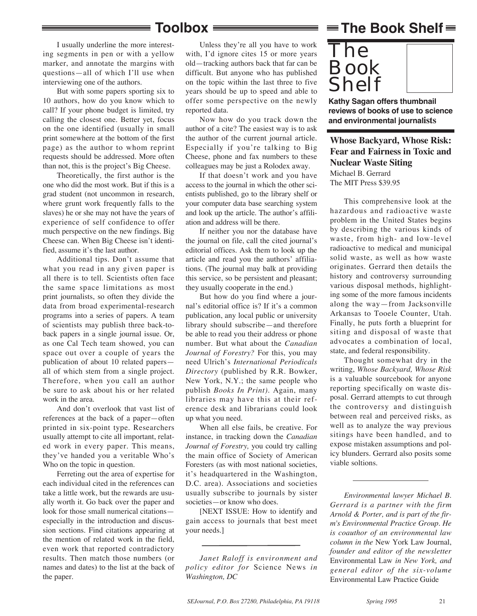### **Toolbox**

I usually underline the more interesting segments in pen or with a yellow marker, and annotate the margins with questions—all of which I'll use when interviewing one of the authors.

But with some papers sporting six to 10 authors, how do you know which to call? If your phone budget is limited, try calling the closest one. Better yet, focus on the one identified (usually in small print somewhere at the bottom of the first page) as the author to whom reprint requests should be addressed. More often than not, this is the project's Big Cheese.

Theoretically, the first author is the one who did the most work. But if this is a grad student (not uncommon in research, where grunt work frequently falls to the slaves) he or she may not have the years of experience of self confidence to offer much perspective on the new findings. Big Cheese can. When Big Cheese isn't identified, assume it's the last author.

Additional tips. Don't assume that what you read in any given paper is all there is to tell. Scientists often face the same space limitations as most print journalists, so often they divide the data from broad experimental-research programs into a series of papers. A team of scientists may publish three back-toback papers in a single journal issue. Or, as one Cal Tech team showed, you can space out over a couple of years the publication of about 10 related papers all of which stem from a single project. Therefore, when you call an author be sure to ask about his or her related work in the area.

And don't overlook that vast list of references at the back of a paper—often printed in six-point type. Researchers usually attempt to cite all important, related work in every paper. This means, they've handed you a veritable Who's Who on the topic in question.

Ferreting out the area of expertise for each individual cited in the references can take a little work, but the rewards are usually worth it. Go back over the paper and look for those small numerical citations especially in the introduction and discussion sections. Find citations appearing at the mention of related work in the field, even work that reported contradictory results. Then match those numbers (or names and dates) to the list at the back of the paper.

Unless they're all you have to work with, I'd ignore cites 15 or more years old—tracking authors back that far can be difficult. But anyone who has published on the topic within the last three to five years should be up to speed and able to offer some perspective on the newly reported data.

Now how do you track down the author of a cite? The easiest way is to ask the author of the current journal article. Especially if you're talking to Big Cheese, phone and fax numbers to these colleagues may be just a Rolodex away.

If that doesn't work and you have access to the journal in which the other scientists published, go to the library shelf or your computer data base searching system and look up the article. The author's affiliation and address will be there.

If neither you nor the database have the journal on file, call the cited journal's editorial offices. Ask them to look up the article and read you the authors' affiliations. (The journal may balk at providing this service, so be persistent and pleasant; they usually cooperate in the end.)

But how do you find where a journal's editorial office is? If it's a common publication, any local public or university library should subscribe—and therefore be able to read you their address or phone number. But what about the *Canadian Journal of Forestry?* For this, you may need Ulrich's *International Periodicals Directory* (published by R.R. Bowker, New York, N.Y.; the same people who publish *Books In Print)*. Again, many libraries may have this at their reference desk and librarians could look up what you need.

When all else fails, be creative. For instance, in tracking down the *Canadian Journal of Forestry,* you could try calling the main office of Society of American Foresters (as with most national societies, it's headquartered in the Washington, D.C. area). Associations and societies usually subscribe to journals by sister societies—or know who does.

[NEXT ISSUE: How to identify and gain access to journals that best meet your needs.]

*Janet Raloff is environment and policy editor for* Science News *in Washington, DC*

## $\equiv$ The Book Shelf $\equiv$



**Kathy Sagan offers thumbnail reviews of books of use to science and environmental journalists**

### **Whose Backyard, Whose Risk: Fear and Fairness in Toxic and Nuclear Waste Siting**

Michael B. Gerrard The MIT Press \$39.95

This comprehensive look at the hazardous and radioactive waste problem in the United States begins by describing the various kinds of waste, from high- and low-level radioactive to medical and municipal solid waste, as well as how waste originates. Gerrard then details the history and controversy surrounding various disposal methods, highlighting some of the more famous incidents along the way—from Jacksonville Arkansas to Tooele Counter, Utah. Finally, he puts forth a blueprint for siting and disposal of waste that advocates a combination of local, state, and federal responsibility.

Thought somewhat dry in the writing, *Whose Backyard, Whose Risk* is a valuable sourcebook for anyone reporting specifically on waste disposal. Gerrard attempts to cut through the controversy and distinguish between real and perceived risks, as well as to analyze the way previous sitings have been handled, and to expose mistaken assumptions and policy blunders. Gerrard also posits some viable soltions.

*Environmental lawyer Michael B. Gerrard is a partner with the firm Arnold & Porter, and is part of the firm's Environmental Practice Group. He is coauthor of an environmental law column in the* New York Law Journal, *founder and editor of the newsletter* Environmental Law *in New York, and general editor of the six-volume* Environmental Law Practice Guide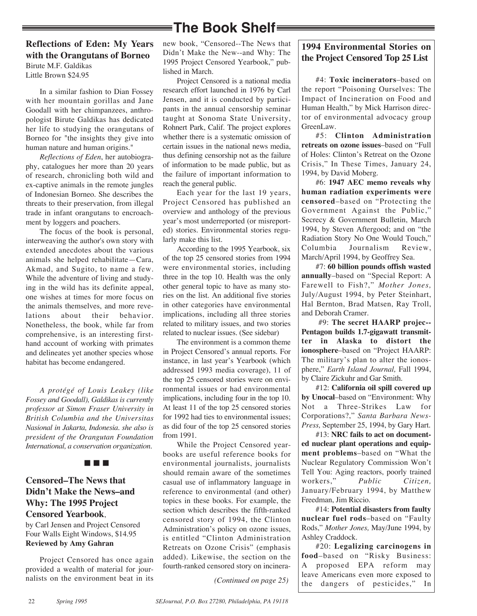## **The Book Shelf**

#### **Reflections of Eden: My Years with the Orangutans of Borneo** Birute M.F. Galdikas

Little Brown \$24.95

In a similar fashion to Dian Fossey with her mountain gorillas and Jane Goodall with her chimpanzees, anthropologist Birute Galdikas has dedicated her life to studying the orangutans of Borneo for "the insights they give into human nature and human origins."

*Reflections of Eden*, her autobiography, catalogues her more than 20 years of research, chronicling both wild and ex-captive animals in the remote jungles of Indonesian Borneo. She describes the threats to their preservation, from illegal trade in infant orangutans to encroachment by loggers and poachers.

The focus of the book is personal, interweaving the author's own story with extended anecdotes about the various animals she helped rehabilitate—Cara, Akmad, and Sugito, to name a few. While the adventure of living and studying in the wild has its definite appeal, one wishes at times for more focus on the animals themselves, and more revelations about their behavior. Nonetheless, the book, while far from comprehensive, is an interesting firsthand account of working with primates and delineates yet another species whose habitat has become endangered.

*A protégé of Louis Leakey (like Fossey and Goodall), Galdikas is currently professor at Simon Fraser University in British Columbia and the Universitas Nasional in Jakarta, Indonesia. she also is president of the Orangutan Foundation International, a conservation organization.*

nnn

### **Censored–The News that Didn't Make the News–and Why: The 1995 Project Censored Yearbook**,

by Carl Jensen and Project Censored Four Walls Eight Windows, \$14.95 **Reviewed by Amy Gahran**

Project Censored has once again provided a wealth of material for journalists on the environment beat in its new book, "Censored--The News that Didn't Make the New--and Why: The 1995 Project Censored Yearbook," published in March.

Project Censored is a national media research effort launched in 1976 by Carl Jensen, and it is conducted by participants in the annual censorship seminar taught at Sonoma State University, Rohnert Park, Calif. The project explores whether there is a systematic omission of certain issues in the national news media, thus defining censorship not as the failure of information to be made public, but as the failure of important information to reach the general public.

Each year for the last 19 years, Project Censored has published an overview and anthology of the previous year's most underreported (or misreported) stories. Environmental stories regularly make this list.

According to the 1995 Yearbook, six of the top 25 censored stories from 1994 were environmental stories, including three in the top 10. Health was the only other general topic to have as many stories on the list. An additional five stories in other categories have environmental implications, including all three stories related to military issues, and two stories related to nuclear issues. (See sidebar)

The environment is a common theme in Project Censored's annual reports. For instance, in last year's Yearbook (which addressed 1993 media coverage), 11 of the top 25 censored stories were on environmental issues or had environmental implications, including four in the top 10. At least 11 of the top 25 censored stories for 1992 had ties to environmental issues; as did four of the top 25 censored stories from 1991.

While the Project Censored yearbooks are useful reference books for environmental journalists, journalists should remain aware of the sometimes casual use of inflammatory language in reference to environmental (and other) topics in these books. For example, the section which describes the fifth-ranked censored story of 1994, the Clinton Administration's policy on ozone issues, is entitled "Clinton Administration Retreats on Ozone Crisis" (emphasis added). Likewise, the section on the fourth-ranked censored story on incinera-

*(Continued on page 25)*

### **1994 Environmental Stories on the Project Censored Top 25 List**

#4: **Toxic incinerators**–based on the report "Poisoning Ourselves: The Impact of Incineration on Food and Human Health," by Mick Harrison director of environmental advocacy group GreenLaw.

#5: **Clinton Administration retreats on ozone issues**–based on "Full of Holes: Clinton's Retreat on the Ozone Crisis," In These Times, January 24, 1994, by David Moberg.

#6: **1947 AEC memo reveals why human radiation experiments were censored**–based on "Protecting the Government Against the Public," Secrecy & Government Bulletin, March 1994, by Steven Aftergood; and on "the Radiation Story No One Would Touch," Columbia Journalism Review, March/April 1994, by Geoffrey Sea.

#7: **60 billion pounds offish wasted annually**–based on "Special Report: A Farewell to Fish?," *Mother Jones,* July/August 1994, by Peter Steinhart, Hal Bernton, Brad Matsen, Ray Troll, and Deborah Cramer.

#9: **The secret HAARP projec-- Pentagon builds 1.7-gigawatt transmitter in Alaska to distort the ionosphere**–based on "Project HAARP: The military's plan to alter the ionosphere," *Earth Island Journal,* Fall 1994, by Claire Zickuhr and Gar Smith.

#12: **California oil spill covered up by Unocal**–based on "Environment: Why Not a Three-Strikes Law for Corporations?," *Santa Barbara News-Press,* September 25, 1994, by Gary Hart.

#13: **NRC fails to act on documented nuclear plant operations and equipment problems**–based on "What the Nuclear Regulatory Commission Won't Tell You: Aging reactors, poorly trained workers," *Public Citizen,* January/February 1994, by Matthew Freedman, Jim Riccio.

#14: **Potential disasters from faulty nuclear fuel rods**–based on "Faulty Rods," *Mother Jones,* May/June 1994, by Ashley Craddock.

#20: **Legalizing carcinogens in food**–based on "Risky Business: A proposed EPA reform may leave Americans even more exposed to the dangers of pesticides," In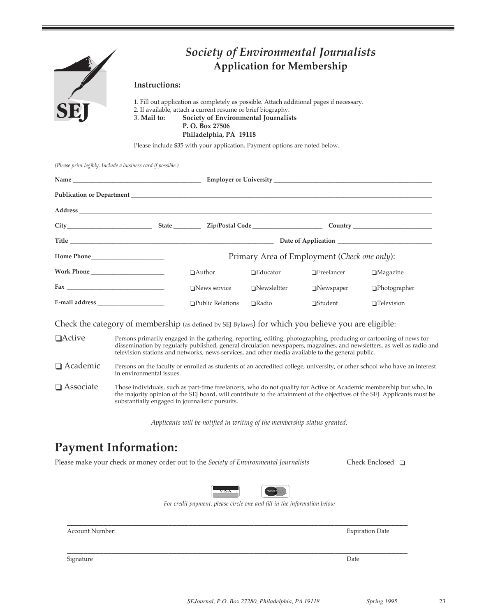

## *Society of Environmental Journalists* **Application for Membership**

#### **Instructions:**

1. Fill out application as completely as possible. Attach additional pages if necessary. 2. If available, attach a current resume or brief biography. 3. **Mail to: Society of Environmental Journalists P. O. Box 27506 Philadelphia, PA 19118**

Please include \$35 with your application. Payment options are noted below.

*(Please print legibly. Include a business card if possible.)*

| State <u>Cip/Postal Code</u>                 |                    |                   |                     |  |  |
|----------------------------------------------|--------------------|-------------------|---------------------|--|--|
|                                              |                    |                   | Date of Application |  |  |
| Primary Area of Employment (Check one only): |                    |                   |                     |  |  |
| $\Box$ Author                                | $\Box$ Educator    | $\Box$ Freelancer | $\Box$ Magazine     |  |  |
| $\Box$ News service                          | $\Box$ Newsleltter | $\Box$ Newspaper  | $\Box$ Photographer |  |  |
| $\Box$ Public Relations                      | $\Box$ Radio       | $\Box$ Student    | $\Box$ Television   |  |  |

Check the category of membership (as defined by SEJ Bylaws) for which you believe you are eligible:

- $\Box$ Active Persons primarily engaged in the gathering, reporting, editing, photographing, producing or cartooning of news for dissemination by regularly published, general circulation newspapers, magazines, and newsletters, as well as radio and television stations and networks, news services, and other media available to the general public.
- o Academic Persons on the faculty or enrolled as students of an accredited college, university, or other school who have an interest in environmental issues.
- $\Box$  Associate Those individuals, such as part-time freelancers, who do not qualify for Active or Academic membership but who, in the majority opinion of the SEJ board, will contribute to the attainment of the objectives of the SEJ. Applicants must be substantially engaged in journalistic pursuits.

*Applicants will be notified in writing of the membership status granted.*

## **Payment Information:**

Please make your check or money order out to the *Society of Environmental Journalists* Check Enclosed **□** 



\_\_\_\_\_\_\_\_\_\_\_\_\_\_\_\_\_\_\_\_\_\_\_\_\_\_\_\_\_\_\_\_\_\_\_\_\_\_\_\_\_\_\_\_\_\_\_\_\_\_\_\_\_\_\_\_\_\_\_\_\_\_\_\_\_\_\_\_\_\_\_\_\_\_\_\_\_\_\_\_\_\_\_\_

\_\_\_\_\_\_\_\_\_\_\_\_\_\_\_\_\_\_\_\_\_\_\_\_\_\_\_\_\_\_\_\_\_\_\_\_\_\_\_\_\_\_\_\_\_\_\_\_\_\_\_\_\_\_\_\_\_\_\_\_\_\_\_\_\_\_\_\_\_\_\_\_\_\_\_\_\_\_\_\_\_\_\_\_

*For credit payment, please circle one and fill in the information below*

**Expiration Date** 

Signature Date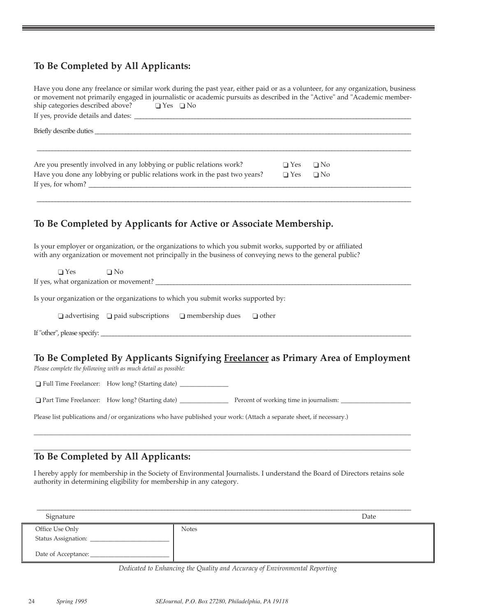### **To Be Completed by All Applicants:**

| Have you done any freelance or similar work during the past year, either paid or as a volunteer, for any organization, business<br>or movement not primarily engaged in journalistic or academic pursuits as described in the "Active" and "Academic member-<br>ship categories described above? $\Box$ Yes $\Box$ No |            |           |
|-----------------------------------------------------------------------------------------------------------------------------------------------------------------------------------------------------------------------------------------------------------------------------------------------------------------------|------------|-----------|
|                                                                                                                                                                                                                                                                                                                       |            |           |
| Are you presently involved in any lobbying or public relations work?                                                                                                                                                                                                                                                  | $\Box$ Yes | $\Box$ No |
| Have you done any lobbying or public relations work in the past two years?                                                                                                                                                                                                                                            | $\Box$ Yes | $\Box$ No |
| To Be Completed by Applicants for Active or Associate Membership.                                                                                                                                                                                                                                                     |            |           |
| Is your employer or organization, or the organizations to which you submit works, supported by or affiliated<br>with any organization or movement not principally in the business of conveying news to the general public?                                                                                            |            |           |
| $\Box$ Yes $\Box$ No<br>If yes, what organization or movement?                                                                                                                                                                                                                                                        |            |           |

Is your organization or the organizations to which you submit works supported by:

|  | $\Box$ advertising $\Box$ paid subscriptions | $\Box$ membership dues | $\Box$ other |
|--|----------------------------------------------|------------------------|--------------|
|--|----------------------------------------------|------------------------|--------------|

If "other", please specify: \_\_\_\_\_\_\_\_\_\_\_\_\_\_\_\_\_\_\_\_\_\_\_\_\_\_\_\_\_\_\_\_\_\_\_\_\_\_\_\_\_\_\_\_\_\_\_\_\_\_\_\_\_\_\_\_\_\_\_\_\_\_\_\_\_\_\_\_\_\_\_\_\_\_\_\_\_\_\_\_\_\_\_\_\_\_\_\_\_\_\_\_\_\_\_\_\_\_\_\_\_\_

### **To Be Completed By Applicants Signifying Freelancer as Primary Area of Employment**

*Please complete the following with as much detail as possible:*

o Full Time Freelancer: How long? (Starting date) \_\_\_\_\_\_\_\_\_\_\_\_\_\_\_\_

o Part Time Freelancer: How long? (Starting date) \_\_\_\_\_\_\_\_\_\_\_\_\_\_\_\_ Percent of working time in journalism: \_\_\_\_\_\_\_\_\_\_\_\_\_\_\_\_\_\_\_\_\_\_\_

\_\_\_\_\_\_\_\_\_\_\_\_\_\_\_\_\_\_\_\_\_\_\_\_\_\_\_\_\_\_\_\_\_\_\_\_\_\_\_\_\_\_\_\_\_\_\_\_\_\_\_\_\_\_\_\_\_\_\_\_\_\_\_\_\_\_\_\_\_\_\_\_\_\_\_\_\_\_\_\_\_\_\_\_\_\_\_\_\_\_\_\_\_\_\_\_\_\_\_\_\_\_\_\_\_\_\_\_\_\_\_\_\_\_\_\_\_\_\_\_\_\_\_\_ \_\_\_\_\_\_\_\_\_\_\_\_\_\_\_\_\_\_\_\_\_\_\_\_\_\_\_\_\_\_\_\_\_\_\_\_\_\_\_\_\_\_\_\_\_\_\_\_\_\_\_\_\_\_\_\_\_\_\_\_\_\_\_\_\_\_\_\_\_\_\_\_\_\_\_\_\_\_\_\_\_\_\_\_\_\_\_\_\_\_\_\_\_\_\_\_\_\_\_\_\_\_\_\_\_\_\_\_\_\_\_\_\_\_\_\_\_\_\_\_\_\_\_\_

Please list publications and/or organizations who have published your work: (Attach a separate sheet, if necessary.)

### **To Be Completed by All Applicants:**

I hereby apply for membership in the Society of Environmental Journalists. I understand the Board of Directors retains sole authority in determining eligibility for membership in any category.

| Signature           |              | Date |
|---------------------|--------------|------|
| Office Use Only     | <b>Notes</b> |      |
| Status Assignation: |              |      |
| Date of Acceptance: |              |      |

*Dedicated to Enhancing the Quality and Accuracy of Environmental Reporting*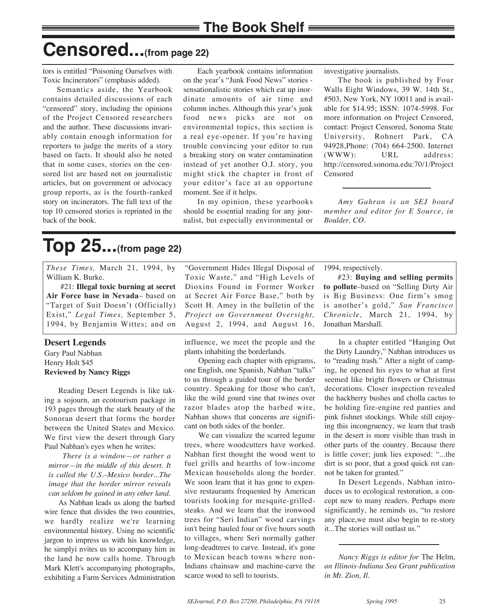## **Censored...(from page 22)**

tors is entitled "Poisoning Ourselves with Toxic Incinerators" (emphasis added).

Semantics aside, the Yearbook contains detailed discussions of each "censored" story, including the opinions of the Project Censored researchers and the author. These discussions invariably contain enough information for reporters to judge the merits of a story based on facts. It should also be noted that in some cases, stories on the censored list are based not on journalistic articles, but on government or advocacy group reports, as is the fourth-ranked story on incinerators. The full text of the top 10 censored stories is reprinted in the back of the book.

Each yearbook contains information on the year's "Junk Food News" stories sensationalistic stories which eat up inordinate amounts of air time and column inches. Although this year's junk food news picks are not on environmental topics, this section is a real eye-opener. If you're having trouble convincing your editor to run a breaking story on water contamination instead of yet another O.J. story, you might stick the chapter in front of your editor's face at an opportune moment. See if it helps.

In my opinion, these yearbooks should be essential reading for any journalist, but especially environmental or investigative journalists.

The book is published by Four Walls Eight Windows, 39 W. 14th St., #503, New York, NY 10011 and is available for \$14.95; ISSN: 1074-5998. For more information on Project Censored, contact: Project Censored, Sonoma State University, Rohnert Park, CA 94928,Phone: (704) 664-2500. Internet (WWW): URL address: http://censored.sonoma.edu:70/1/Project Censored

*Amy Gahran is an SEJ board member and editor for E Source, in Boulder, CO.* 

# **Top 25...(from page 22)**

*These Times,* March 21, 1994, by William K. Burke.

#21: **Illegal toxic burning at secret Air Force base in Nevada**– based on "Target of Suit Doesn't (Officially) Exist," *Legal Times,* September 5, 1994, by Benjamin Wittes; and on

#### **Desert Legends**

Gary Paul Nabhan Henry Holt \$45 **Reviewed by Nancy Riggs**

Reading Desert Legends is like taking a sojourn, an ecotourism package in 193 pages through the stark beauty of the Sonoran desert that forms the border between the United States and Mexico. We first view the desert through Gary Paul Nabhan's eyes when he writes:

*There is a window—or rather a mirror—in the middle of this desert. It is called the U.S.–Mexico border...The image that the border mirror reveals can seldom be gained in any other land.*

As Nabhan leads us along the barbed wire fence that divides the two countries, we hardly realize we're learning environmental history. Using no scientific jargon to impress us with his knowledge, he simplyi nvites us to accompany him in the land he now calls home. Through Mark Klett's accompanying photographs, exhibiting a Farm Services Administration "Government Hides Illegal Disposal of Toxic Waste," and "High Levels of Dioxins Found in Former Worker at Secret Air Force Base," both by Scott H. Amey in the bulletin of the *Project on Government Oversight,* August 2, 1994, and August 16,

influence, we meet the people and the plants inhabiting the borderlands.

Opening each chapter with epigrams, one English, one Spanish, Nabhan "talks" to us through a guided tour of the border country. Speaking for those who can't, like the wild gourd vine that twines over razor blades atop the barbed wire, Nabhan shows that concerns are significant on both sides of the border.

We can visualize the scarred legume trees, where woodcutters have worked. Nabhan first thought the wood went to fuel grills and hearths of low-income Mexican households along the border. We soon learn that it has gone to expensive restaurants frequented by American tourists looking for mesquite-grilledsteaks. And we learn that the ironwood trees for "Seri Indian" wood carvings isn't being hauled four or five hours south to villages, where Seri normally gather long-deadtrees to carve. Instead, it's gone to Mexican beach towns where non-Indians chainsaw and machine-carve the scarce wood to sell to tourists.

1994, respectively.

#23: **Buying and selling permits to pollute**–based on "Selling Dirty Air is Big Business: One firm's smog is another's gold," *San Francisco Chronicle,* March 21, 1994, by Jonathan Marshall.

In a chapter entitled "Hanging Out the Dirty Laundry," Nabhan introduces us to "reading trash." After a night of camping, he opened his eyes to what at first seemed like bright flowers or Christmas decorations. Closer inspection revealed the hackberry bushes and cholla cactus to be holding fire-engine red panties and pink fishnet stockings. While still enjoying this incongruency, we learn that trash in the desert is more visible than trash in other parts of the country. Because there is little cover; junk lies exposed: "...the dirt is so poor, that a good quick rot cannot be taken for granted."

In Desert Legends, Nabhan introduces us to ecological restoration, a concept new to many readers. Perhaps more significantly, he reminds us, "to restore any place,we must also begin to re-story it...The stories will outlast us."

*Nancy Riggs is editor for* The Helm, *an Illinois-Indiana Sea Grant publication in Mt. Zion, Il.*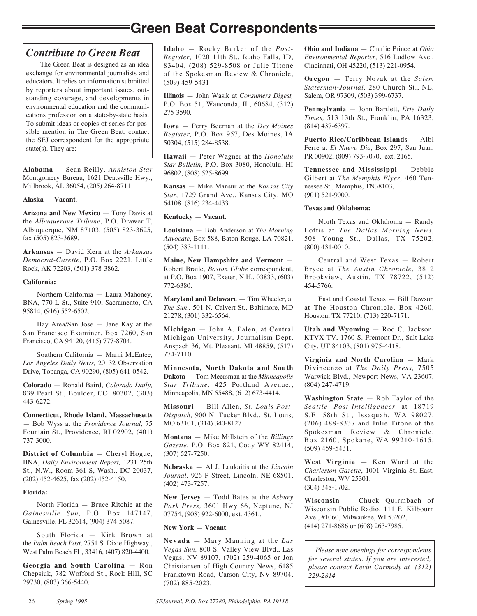## **Green Beat Correspondents**

### *Contribute to Green Beat*

The Green Beat is designed as an idea exchange for environmental journalists and educators. It relies on information submitted by reporters about important issues, outstanding coverage, and developments in environmental education and the communications profession on a state-by-state basis. To submit ideas or copies of series for possible mention in The Green Beat, contact the SEJ correspondent for the appropriate state(s). They are:

**Alabama** — Sean Reilly, *Anniston Star* Montgomery Bureau, 1621 Deatsville Hwy., Millbrook, AL 36054, (205) 264-8711

#### **Alaska** — **Vacant**.

**Arizona and New Mexico** — Tony Davis at the *Albuquerque Tribune*, P.O. Drawer T, Albuquerque, NM 87103, (505) 823-3625, fax (505) 823-3689.

**Arkansas** — David Kern at the *Arkansas Democrat-Gazette,* P.O. Box 2221, Little Rock, AK 72203, (501) 378-3862.

#### **California:**

Northern California — Laura Mahoney, BNA, 770 L St., Suite 910, Sacramento, CA 95814, (916) 552-6502.

Bay Area/San Jose — Jane Kay at the San Francisco Examiner, Box 7260, San Francisco, CA 94120, (415) 777-8704.

Southern California — Marni McEntee, *Los Angeles Daily News,* 20132 Observation Drive, Topanga, CA 90290, (805) 641-0542.

**Colorado** — Ronald Baird, *Colorado Daily,* 839 Pearl St., Boulder, CO, 80302, (303) 443-6272.

**Connecticut, Rhode Island, Massachusetts** — Bob Wyss at the *Providence Journal,* 75 Fountain St., Providence, RI 02902, (401) 737-3000.

**District of Columbia** — Cheryl Hogue, BNA, *Daily Environment Report,* 1231 25th St., N.W., Room 361-S, Wash., DC 20037, (202) 452-4625, fax (202) 452-4150.

#### **Florida:**

North Florida — Bruce Ritchie at the *Gainesville Sun,* P.O. Box 147147, Gainesville, FL 32614, (904) 374-5087.

South Florida — Kirk Brown at the *Palm Beach Post,* 2751 S. Dixie Highway., West Palm Beach FL, 33416, (407) 820-4400.

**Georgia and South Carolina** — Ron Chepsiuk, 782 Wofford St., Rock Hill, SC 29730, (803) 366-5440.

**Idaho** — Rocky Barker of the *Post-Register,* 1020 11th St., Idaho Falls, ID, 83404, (208) 529-8508 or Julie Titone of the Spokesman Review & Chronicle, (509) 459-5431

**Illinois** — John Wasik at *Consumers Digest,* P.O. Box 51, Wauconda, IL, 60684, (312) 275-3590.

**Iowa** — Perry Beeman at the *Des Moines Register,* P.O. Box 957, Des Moines, IA 50304, (515) 284-8538.

**Hawaii** — Peter Wagner at the *Honolulu Star-Bulletin,* P.O. Box 3080, Honolulu, HI 96802, (808) 525-8699.

**Kansas** — Mike Mansur at the *Kansas City Star,* 1729 Grand Ave., Kansas City, MO 64108. (816) 234-4433.

#### **Kentucky** — **Vacant.**

**Louisiana** — Bob Anderson at *The Morning Advocate*, Box 588, Baton Rouge, LA 70821, (504) 383-1111.

**Maine, New Hampshire and Vermont** — Robert Braile, *Boston Globe* correspondent, at P.O. Box 1907, Exeter, N.H., 03833, (603) 772-6380.

**Maryland and Delaware** — Tim Wheeler, at *The Sun.,* 501 N. Calvert St., Baltimore, MD 21278, (301) 332-6564.

**Michigan** — John A. Palen, at Central Michigan University, Journalism Dept, Anspach 36, Mt. Pleasant, MI 48859, (517) 774-7110.

**Minnesota, North Dakota and South Dakota** — Tom Meersman at the *Minneapolis Star Tribune,* 425 Portland Avenue., Minneapolis, MN 55488, (612) 673-4414.

**Missouri** — Bill Allen, *St. Louis Post-Dispatch,* 900 N. Tucker Blvd., St. Louis, MO 63101, (314) 340-8127 .

**Montana** — Mike Millstein of the *Billings Gazette,* P.O. Box 821, Cody WY 82414, (307) 527-7250.

**Nebraska** — Al J. Laukaitis at the *Lincoln Journal,* 926 P Street, Lincoln, NE 68501, (402) 473-7257.

**New Jersey** — Todd Bates at the *Asbury Park Press,* 3601 Hwy 66, Neptune, NJ 07754, (908) 922-6000, ext. 4361..

#### **New York** — **Vacant**.

**Nevada** — Mary Manning at the *Las Vegas Sun,* 800 S. Valley View Blvd., Las Vegas, NV 89107, (702) 259-4065 or Jon Christiansen of High Country News, 6185 Franktown Road, Carson City, NV 89704, (702) 885-2023.

**Ohio and Indiana** — Charlie Prince at *Ohio Environmental Reporter,* 516 Ludlow Ave., Cincinnati, OH 45220, (513) 221-0954.

**Oregon** — Terry Novak at the *Salem Statesman-Journal,* 280 Church St., NE, Salem, OR 97309, (503) 399-6737.

**Pennsylvania** — John Bartlett, *Erie Daily Times,* 513 13th St., Franklin, PA 16323, (814) 437-6397.

**Puerto Rico/Caribbean Islands** — Albi Ferre at *El Nuevo Dia,* Box 297, San Juan, PR 00902, (809) 793-7070, ext. 2165.

**Tennessee and Mississippi** — Debbie Gilbert at *The Memphis Flyer,* 460 Tennessee St., Memphis, TN38103, (901) 521-9000.

#### **Texas and Oklahoma:**

North Texas and Oklahoma — Randy Loftis at *The Dallas Morning News,*  508 Young St., Dallas, TX 75202, (800) 431-0010.

Central and West Texas — Robert Bryce at *The Austin Chronicle,* 3812 Brookview, Austin, TX 78722, (512) 454-5766.

East and Coastal Texas — Bill Dawson at The Houston Chronicle, Box 4260, Houston, TX 77210, (713) 220-7171.

**Utah and Wyoming** — Rod C. Jackson, KTVX-TV, 1760 S. Fremont Dr., Salt Lake City, UT 84103, (801) 975-4418.

**Virginia and North Carolina** — Mark Divincenzo at *The Daily Press,* 7505 Warwick Blvd., Newport News, VA 23607, (804) 247-4719.

**Washington State** — Rob Taylor of the *Seattle Post-Intelligencer* at 18719 S.E. 58th St., Issaquah, WA 98027, (206) 488-8337 and Julie Titone of the Spokesman Review & Chronicle, Box 2160, Spokane, WA 99210-1615, (509) 459-5431.

**West Virginia** — Ken Ward at the *Charleston Gazette*, 1001 Virginia St. East, Charleston, WV 25301, (304) 348-1702.

**Wisconsin** — Chuck Quirmbach of Wisconsin Public Radio, 111 E. Kilbourn Ave., #1060, Milwaukee, WI 53202, (414) 271-8686 or (608) 263-7985.

*Please note openings for correspondents for several states. If you are interested, please contact Kevin Carmody at (312) 229-2814*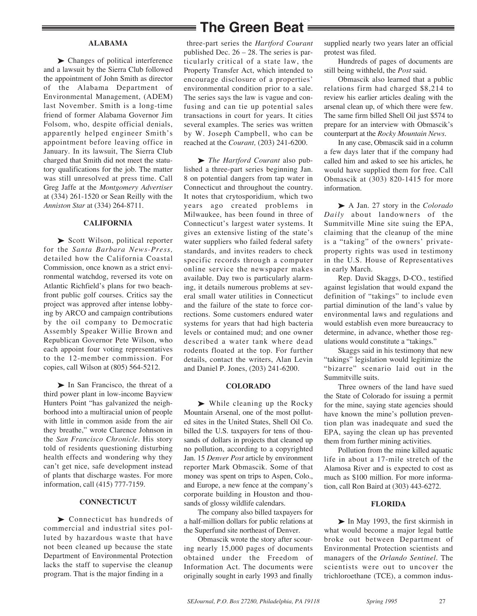#### **ALABAMA**

▶ Changes of political interference and a lawsuit by the Sierra Club followed the appointment of John Smith as director of the Alabama Department of Environmental Management, (ADEM) last November. Smith is a long-time friend of former Alabama Governor Jim Folsom, who, despite official denials, apparently helped engineer Smith's appointment before leaving office in January. In its lawsuit, The Sierra Club charged that Smith did not meet the statutory qualifications for the job. The matter was still unresolved at press time. Call Greg Jaffe at the *Montgomery Advertiser* at (334) 261-1520 or Sean Reilly with the *Anniston Star* at (334) 264-8711.

#### **CALIFORNIA**

▶ Scott Wilson, political reporter for the *Santa Barbara News-Press,* detailed how the California Coastal Commission, once known as a strict environmental watchdog, reversed its vote on Atlantic Richfield's plans for two beachfront public golf courses. Critics say the project was approved after intense lobbying by ARCO and campaign contributions by the oil company to Democratic Assembly Speaker Willie Brown and Republican Governor Pete Wilson, who each appoint four voting representatives to the 12-member commission. For copies, call Wilson at (805) 564-5212.

‰ In San Francisco, the threat of a third power plant in low-income Bayview Hunters Point "has galvanized the neighborhood into a multiracial union of people with little in common aside from the air they breathe," wrote Clarence Johnson in the *San Francisco Chronicle.* His story told of residents questioning disturbing health effects and wondering why they can't get nice, safe development instead of plants that discharge wastes. For more information, call (415) 777-7159.

#### **CONNECTICUT**

▶ Connecticut has hundreds of commercial and industrial sites polluted by hazardous waste that have not been cleaned up because the state Department of Environmental Protection lacks the staff to supervise the cleanup program. That is the major finding in a

### **The Green Beat**

three-part series the *Hartford Courant* published Dec. 26 – 28. The series is particularly critical of a state law, the Property Transfer Act, which intended to encourage disclosure of a properties' environmental condition prior to a sale. The series says the law is vague and confusing and can tie up potential sales transactions in court for years. It cities several examples. The series was written by W. Joseph Campbell, who can be reached at the *Courant,* (203) 241-6200.

▶ *The Hartford Courant* also published a three-part series beginning Jan. 8 on potential dangers from tap water in Connecticut and throughout the country. It notes that crytosporidium, which two years ago created problems in Milwaukee, has been found in three of Connecticut's largest water systems. It gives an extensive listing of the state's water suppliers who failed federal safety standards, and invites readers to check specific records through a computer online service the newspaper makes available. Day two is particularly alarming, it details numerous problems at several small water utilities in Connecticut and the failure of the state to force corrections. Some customers endured water systems for years that had high bacteria levels or contained mud; and one owner described a water tank where dead rodents floated at the top. For further details, contact the writers, Alan Levin and Daniel P. Jones, (203) 241-6200.

#### **COLORADO**

 $\blacktriangleright$  While cleaning up the Rocky Mountain Arsenal, one of the most polluted sites in the United States, Shell Oil Co. billed the U.S. taxpayers for tens of thousands of dollars in projects that cleaned up no pollution, according to a copyrighted Jan. 15 *Denver Post* article by environment reporter Mark Obmascik. Some of that money was spent on trips to Aspen, Colo., and Europe, a new fence at the company's corporate building in Houston and thousands of glossy wildlife calendars.

The company also billed taxpayers for a half-million dollars for public relations at the Superfund site northeast of Denver.

Obmascik wrote the story after scouring nearly 15,000 pages of documents obtained under the Freedom of Information Act. The documents were originally sought in early 1993 and finally supplied nearly two years later an official protest was filed.

Hundreds of pages of documents are still being withheld, the *Post* said.

Obmascik also learned that a public relations firm had charged \$8,214 to review his earlier articles dealing with the arsenal clean up, of which there were few. The same firm billed Shell Oil just \$574 to prepare for an interview with Obmascik's counterpart at the *Rocky Mountain News.*

In any case, Obmascik said in a column a few days later that if the company had called him and asked to see his articles, he would have supplied them for free. Call Obmascik at (303) 820-1415 for more information.

‰ A Jan. 27 story in the *Colorado Daily* about landowners of the Summitville Mine site suing the EPA, claiming that the cleanup of the mine is a "taking" of the owners' privateproperty rights was used in testimony in the U.S. House of Representatives in early March.

Rep. David Skaggs, D-CO., testified against legislation that would expand the definition of "takings" to include even partial diminution of the land's value by environmental laws and regulations and would establish even more bureaucracy to determine, in advance, whether those regulations would constitute a "takings."

Skaggs said in his testimony that new "takings" legislation would legitimize the "bizarre" scenario laid out in the Summitville suits.

Three owners of the land have sued the State of Colorado for issuing a permit for the mine, saying state agencies should have known the mine's pollution prevention plan was inadequate and sued the EPA, saying the clean up has prevented them from further mining activities.

Pollution from the mine killed aquatic life in about a 17-mile stretch of the Alamosa River and is expected to cost as much as \$100 million. For more information, call Ron Baird at (303) 443-6272.

#### **FLORIDA**

‰ In May 1993, the first skirmish in what would become a major legal battle broke out between Department of Environmental Protection scientists and managers of the *Orlando Sentinel.* The scientists were out to uncover the trichloroethane (TCE), a common indus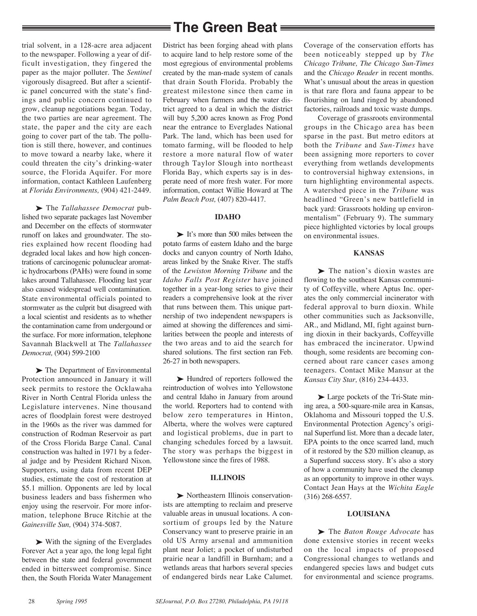trial solvent, in a 128-acre area adjacent to the newspaper. Following a year of difficult investigation, they fingered the paper as the major polluter. The *Sentinel* vigorously disagreed. But after a scientific panel concurred with the state's findings and public concern continued to grow, cleanup negotiations began. Today, the two parties are near agreement. The state, the paper and the city are each going to cover part of the tab. The pollution is still there, however, and continues to move toward a nearby lake, where it could threaten the city's drinking-water source, the Florida Aquifer. For more information, contact Kathleen Laufenberg at *Florida Environments,* (904) 421-2449.

‰ The *Tallahassee Democrat* published two separate packages last November and December on the effects of stormwater runoff on lakes and groundwater. The stories explained how recent flooding had degraded local lakes and how high concentrations of carcinogenic polunuclear aromatic hydrocarbons (PAHs) were found in some lakes around Tallahassee. Flooding last year also caused widespread well contamination. State environmental officials pointed to stormwater as the culprit but disagreed with a local scientist and residents as to whether the contamination came from undergound or the surface. For more information, telephone Savannah Blackwell at The *Tallahassee Democrat,* (904) 599-2100

▶ The Department of Environmental Protection announced in January it will seek permits to restore the Ocklawaha River in North Central Florida unless the Legislature intervenes. Nine thousand acres of floodplain forest were destroyed in the 1960s as the river was dammed for construction of Rodman Reservoir as part of the Cross Florida Barge Canal. Canal construction was halted in 1971 by a federal judge and by President Richard Nixon. Supporters, using data from recent DEP studies, estimate the cost of restoration at \$5.1 million. Opponents are led by local business leaders and bass fishermen who enjoy using the reservoir. For more information, telephone Bruce Ritchie at the *Gainesville Sun,* (904) 374-5087.

 $\triangleright$  With the signing of the Everglades Forever Act a year ago, the long legal fight between the state and federal government ended in bittersweet compromise. Since then, the South Florida Water Management

## **The Green Beat**

District has been forging ahead with plans to acquire land to help restore some of the most egregious of environmental problems created by the man-made system of canals that drain South Florida. Probably the greatest milestone since then came in February when farmers and the water district agreed to a deal in which the district will buy 5,200 acres known as Frog Pond near the entrance to Everglades National Park. The land, which has been used for tomato farming, will be flooded to help restore a more natural flow of water through Taylor Slough into northeast Florida Bay, which experts say is in desperate need of more fresh water. For more information, contact Willie Howard at The *Palm Beach Post,* (407) 820-4417.

#### **IDAHO**

► It's more than 500 miles between the potato farms of eastern Idaho and the barge docks and canyon country of North Idaho, areas linked by the Snake River. The staffs of the *Lewiston Morning Tribune* and the *Idaho Falls Post Register* have joined together in a year-long series to give their readers a comprehensive look at the river that runs between them. This unique partnership of two independent newspapers is aimed at showing the differences and similarities between the people and interests of the two areas and to aid the search for shared solutions. The first section ran Feb. 26-27 in both newspapers.

▶ Hundred of reporters followed the reintroduction of wolves into Yellowstone and central Idaho in January from around the world. Reporters had to contend with below zero temperatures in Hinton, Alberta, where the wolves were captured and logistical problems, due in part to changing schedules forced by a lawsuit. The story was perhaps the biggest in Yellowstone since the fires of 1988.

#### **ILLINOIS**

‰ Northeastern Illinois conservationists are attempting to reclaim and preserve valuable areas in unusual locations. A consortium of groups led by the Nature Conservancy want to preserve prairie in an old US Army arsenal and ammunition plant near Joliet; a pocket of undisturbed prairie near a landfill in Burnham; and a wetlands areas that harbors several species of endangered birds near Lake Calumet. Coverage of the conservation efforts has been noticeably stepped up by *The Chicago Tribune, The Chicago Sun-Times* and the *Chicago Reader* in recent months. What's unusual about the areas in question is that rare flora and fauna appear to be flourishing on land ringed by abandoned factories, railroads and toxic waste dumps.

Coverage of grassroots environmental groups in the Chicago area has been sparse in the past. But metro editors at both the *Tribune* and *Sun-Times* have been assigning more reporters to cover everything from wetlands developments to controversial highway extensions, in turn highlighting environmental aspects. A watershed piece in the *Tribune* was headlined "Green's new battlefield in back yard: Grassroots holding up environmentalism" (February 9). The summary piece highlighted victories by local groups on environmental issues.

#### **KANSAS**

 $\blacktriangleright$  The nation's dioxin wastes are flowing to the southeast Kansas community of Coffeyville, where Aptus Inc. operates the only commercial incinerator with federal approval to burn dioxin. While other communities such as Jacksonville, AR., and Midland, MI, fight against burning dioxin in their backyards, Coffeyville has embraced the incinerator. Upwind though, some residents are becoming concerned about rare cancer cases among teenagers. Contact Mike Mansur at the *Kansas City Star,* (816) 234-4433.

‰ Large pockets of the Tri-State mining area, a 500-square-mile area in Kansas, Oklahoma and Missouri topped the U.S. Environmental Protection Agency's original Superfund list. More than a decade later, EPA points to the once scarred land, much of it restored by the \$20 million cleanup, as a Superfund success story. It's also a story of how a community have used the cleanup as an opportunity to improve in other ways. Contact Jean Hays at the *Wichita Eagle* (316) 268-6557.

#### **LOUISIANA**

▶ The *Baton Rouge Advocate* has done extensive stories in recent weeks on the local impacts of proposed Congressional changes to wetlands and endangered species laws and budget cuts for environmental and science programs.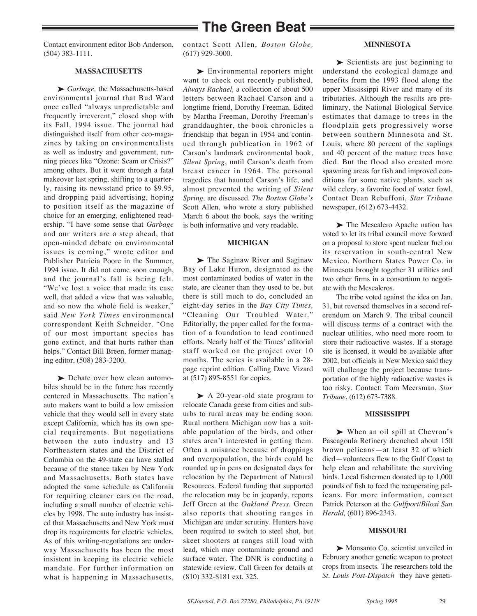## **The Green Beat**

Contact environment editor Bob Anderson, (504) 383-1111.

#### **MASSACHUSETTS**

▶ *Garbage*, the Massachusetts-based environmental journal that Bud Ward once called "always unpredictable and frequently irreverent," closed shop with its Fall, 1994 issue. The journal had distinguished itself from other eco-magazines by taking on environmentalists as well as industry and government, running pieces like "Ozone: Scam or Crisis?" among others. But it went through a fatal makeover last spring, shifting to a quarterly, raising its newsstand price to \$9.95, and dropping paid advertising, hoping to position itself as the magazine of choice for an emerging, enlightened readership. "I have some sense that *Garbage* and our writers are a step ahead, that open-minded debate on environmental issues is coming," wrote editor and Publisher Patricia Poore in the Summer, 1994 issue. It did not come soon enough, and the journal's fall is being felt. "We've lost a voice that made its case well, that added a view that was valuable, and so now the whole field is weaker," said *New York Times* environmental correspondent Keith Schneider. "One of our most important species has gone extinct, and that hurts rather than helps." Contact Bill Breen, former managing editor, (508) 283-3200.

► Debate over how clean automobiles should be in the future has recently centered in Massachusetts. The nation's auto makers want to build a low emission vehicle that they would sell in every state except California, which has its own special requirements. But negotiations between the auto industry and 13 Northeastern states and the District of Columbia on the 49-state car have stalled because of the stance taken by New York and Massachusetts. Both states have adopted the same schedule as California for requiring cleaner cars on the road, including a small number of electric vehicles by 1998. The auto industry has insisted that Massachusetts and New York must drop its requirements for electric vehicles. As of this writing-negotiations are underway Massachusetts has been the most insistent in keeping its electric vehicle mandate. For further information on what is happening in Massachusetts, contact Scott Allen, *Boston Globe,* (617) 929-3000.

#### **MINNESOTA**

► Environmental reporters might want to check out recently published, *Always Rachael,* a collection of about 500 letters between Rachael Carson and a longtime friend, Dorothy Freeman. Edited by Martha Freeman, Dorothy Freeman's granddaughter, the book chronicles a friendship that began in 1954 and continued through publication in 1962 of Carson's landmark environmental book, *Silent Spring*, until Carson's death from breast cancer in 1964. The personal tragedies that haunted Carson's life, and almost prevented the writing of *Silent Spring,* are discussed. *The Boston Globe's* Scott Allen, who wrote a story published March 6 about the book, says the writing is both informative and very readable.

#### **MICHIGAN**

► The Saginaw River and Saginaw Bay of Lake Huron, designated as the most contaminated bodies of water in the state, are cleaner than they used to be, but there is still much to do, concluded an eight-day series in the *Bay City Times,* "Cleaning Our Troubled Water." Editorially, the paper called for the formation of a foundation to lead continued efforts. Nearly half of the Times' editorial staff worked on the project over 10 months. The series is available in a 28 page reprint edition. Calling Dave Vizard at (517) 895-8551 for copies.

▶ A 20-year-old state program to relocate Canada geese from cities and suburbs to rural areas may be ending soon. Rural northern Michigan now has a suitable population of the birds, and other states aren't interested in getting them. Often a nuisance because of droppings and overpopulation, the birds could be rounded up in pens on designated days for relocation by the Department of Natural Resources. Federal funding that supported the relocation may be in jeopardy, reports Jeff Green at the *Oakland Press.* Green also reports that shooting ranges in Michigan are under scrutiny. Hunters have been required to switch to steel shot, but skeet shooters at ranges still load with lead, which may contaminate ground and surface water. The DNR is conducting a statewide review. Call Green for details at (810) 332-8181 ext. 325.

► Scientists are just beginning to understand the ecological damage and benefits from the 1993 flood along the upper Mississippi River and many of its tributaries. Although the results are preliminary, the National Biological Service estimates that damage to trees in the floodplain gets progressively worse between southern Minnesota and St. Louis, where 80 percent of the saplings and 40 percent of the mature trees have died. But the flood also created more spawning areas for fish and improved conditions for some native plants, such as wild celery, a favorite food of water fowl. Contact Dean Rebuffoni, *Star Tribune* newspaper, (612) 673-4432.

 $\blacktriangleright$  The Mescalero Apache nation has voted to let its tribal council move forward on a proposal to store spent nuclear fuel on its reservation in south-central New Mexico. Northern States Power Co. in Minnesota brought together 31 utilities and two other firms in a consortium to negotiate with the Mescaleros.

The tribe voted against the idea on Jan. 31, but reversed themselves in a second referendum on March 9. The tribal council will discuss terms of a contract with the nuclear utilities, who need more room to store their radioactive wastes. If a storage site is licensed, it would be available after 2002, but officials in New Mexico said they will challenge the project because transportation of the highly radioactive wastes is too risky. Contact: Tom Meersman, *Star Tribune*, (612) 673-7388.

#### **MISSISSIPPI**

‰ When an oil spill at Chevron's Pascagoula Refinery drenched about 150 brown pelicans—at least 32 of which died—volunteers flew to the Gulf Coast to help clean and rehabilitate the surviving birds. Local fishermen donated up to 1,000 pounds of fish to feed the recuperating pelicans. For more information, contact Patrick Peterson at the *Gulfport/Biloxi Sun Herald,* (601) 896-2343.

#### **MISSOURI**

► Monsanto Co. scientist unveiled in February another genetic weapon to protect crops from insects. The researchers told the *St. Louis Post-Dispatch* they have geneti-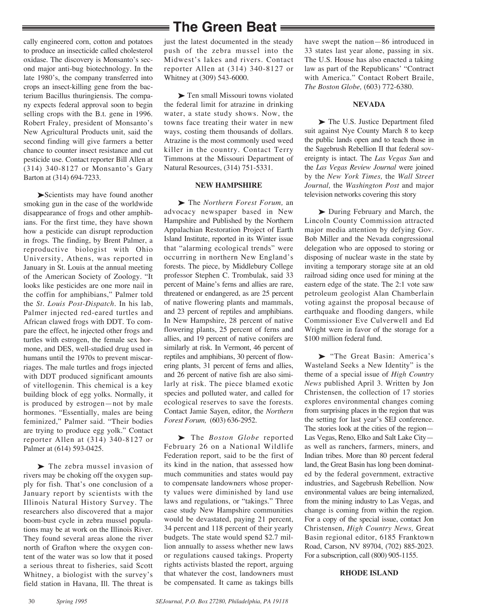## **The Green Beat**

cally engineered corn, cotton and potatoes to produce an insecticide called cholesterol oxidase. The discovery is Monsanto's second major anti-bug biotechnology. In the late 1980's, the company transferred into crops an insect-killing gene from the bacterium Bacillus thuringiensis. The company expects federal approval soon to begin selling crops with the B.t. gene in 1996. Robert Fraley, president of Monsanto's New Agricultural Products unit, said the second finding will give farmers a better chance to counter insect resistance and cut pesticide use. Contact reporter Bill Allen at (314) 340-8127 or Monsanto's Gary Barton at (314) 694-7233.

▶Scientists may have found another smoking gun in the case of the worldwide disappearance of frogs and other amphibians. For the first time, they have shown how a pesticide can disrupt reproduction in frogs. The finding, by Brent Palmer, a reproductive biologist with Ohio University, Athens, was reported in January in St. Louis at the annual meeting of the American Society of Zoology. "It looks like pesticides are one more nail in the coffin for amphibians," Palmer told the *St. Louis Post-Dispatch.* In his lab, Palmer injected red-eared turtles and African clawed frogs with DDT. To compare the effect, he injected other frogs and turtles with estrogen, the female sex hormone, and DES, well-studied drug used in humans until the 1970s to prevent miscarriages. The male turtles and frogs injected with DDT produced significant amounts of vitellogenin. This chemical is a key building block of egg yolks. Normally, it is produced by estrogen—not by male hormones. "Essentially, males are being feminized," Palmer said. "Their bodies are trying to produce egg yolk." Contact reporter Allen at (314) 340-8127 or Palmer at (614) 593-0425.

▶ The zebra mussel invasion of rivers may be choking off the oxygen supply for fish. That's one conclusion of a January report by scientists with the Illinois Natural History Survey. The researchers also discovered that a major boom-bust cycle in zebra mussel populations may be at work on the Illinois River. They found several areas alone the river north of Grafton where the oxygen content of the water was so low that it posed a serious threat to fisheries, said Scott Whitney, a biologist with the survey's field station in Havana, Ill. The threat is

just the latest documented in the steady push of the zebra mussel into the Midwest's lakes and rivers. Contact reporter Allen at (314) 340-8127 or Whitney at (309) 543-6000.

▶ Ten small Missouri towns violated the federal limit for atrazine in drinking water, a state study shows. Now, the towns face treating their water in new ways, costing them thousands of dollars. Atrazine is the most commonly used weed killer in the country. Contact Terry Timmons at the Missouri Department of Natural Resources, (314) 751-5331.

#### **NEW HAMPSHIRE**

‰ The *Northern Forest Forum,* an advocacy newspaper based in New Hampshire and Published by the Northern Appalachian Restoration Project of Earth Island Institute, reported in its Winter issue that "alarming ecological trends" were occurring in northern New England's forests. The piece, by Middlebury College professor Stephen C. Trombulak, said 33 percent of Maine's ferns and allies are rare, threatened or endangered, as are 25 percent of native flowering plants and mammals, and 23 percent of reptiles and amphibians. In New Hampshire, 28 percent of native flowering plants, 25 percent of ferns and allies, and 19 percent of native conifers are similarly at risk. In Vermont, 46 percent of reptiles and amphibians, 30 percent of flowering plants, 31 percent of ferns and allies, and 26 percent of native fish are also similarly at risk. The piece blamed exotic species and polluted water, and called for ecological reserves to save the forests. Contact Jamie Sayen, editor, the *Northern Forest Forum,* (603) 636-2952.

‰ The *Boston Globe* reported February 26 on a National Wildlife Federation report, said to be the first of its kind in the nation, that assessed how much communities and states would pay to compensate landowners whose property values were diminished by land use laws and regulations, or "takings." Three case study New Hampshire communities would be devastated, paying 21 percent, 34 percent and 118 percent of their yearly budgets. The state would spend \$2.7 million annually to assess whether new laws or regulations caused takings. Property rights activists blasted the report, arguing that whatever the cost, landowners must be compensated. It came as takings bills

have swept the nation—86 introduced in 33 states last year alone, passing in six. The U.S. House has also enacted a taking law as part of the Republicans' "Contract with America." Contact Robert Braile, *The Boston Globe,* (603) 772-6380.

#### **NEVADA**

▶ The U.S. Justice Department filed suit against Nye County March 8 to keep the public lands open and to teach those in the Sagebrush Rebellion II that federal sovereignty is intact. The *Las Vegas Sun* and the *Las Vegas Review Journal* were joined by the *New York Times,* the *Wall Street Journal,* the *Washington Post* and major television networks covering this story

 $\blacktriangleright$  During February and March, the Lincoln County Commission attracted major media attention by defying Gov. Bob Miller and the Nevada congressional delegation who are opposed to storing or disposing of nuclear waste in the state by inviting a temporary storage site at an old railroad siding once used for mining at the eastern edge of the state. The 2:1 vote saw petroleum geologist Alan Chamberlain voting against the proposal because of earthquake and flooding dangers, while Commissioner Eve Culverwell and Ed Wright were in favor of the storage for a \$100 million federal fund.

‰ "The Great Basin: America's Wasteland Seeks a New Identity" is the theme of a special issue of *High Country News* published April 3. Written by Jon Christensen, the collection of 17 stories explores environmental changes coming from surprising places in the region that was the setting for last year's SEJ conference. The stories look at the cities of the region— Las Vegas, Reno, Elko and Salt Lake City as well as ranchers, farmers, miners, and Indian tribes. More than 80 percent federal land, the Great Basin has long been dominated by the federal government, extractive industries, and Sagebrush Rebellion. Now environmental values are being internalized, from the mining industry to Las Vegas, and change is coming from within the region. For a copy of the special issue, contact Jon Christensen, *High Country News,* Great Basin regional editor, 6185 Franktown Road, Carson, NV 89704, (702) 885-2023. For a subscription, call (800) 905-1155.

#### **RHODE ISLAND**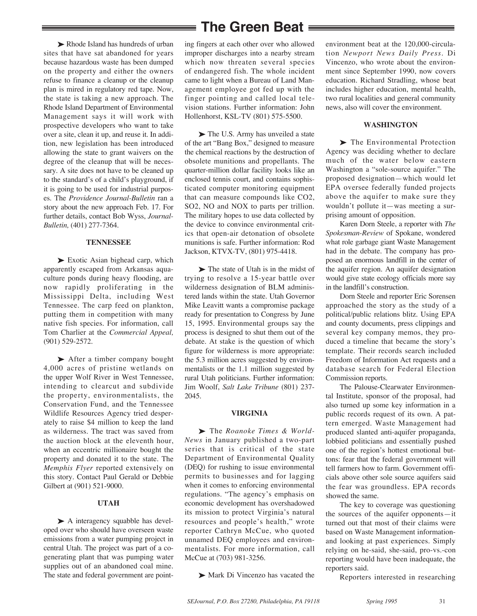► Rhode Island has hundreds of urban sites that have sat abandoned for years because hazardous waste has been dumped on the property and either the owners refuse to finance a cleanup or the cleanup plan is mired in regulatory red tape. Now, the state is taking a new approach. The Rhode Island Department of Environmental Management says it will work with prospective developers who want to take over a site, clean it up, and reuse it. In addition, new legislation has been introduced allowing the state to grant waivers on the degree of the cleanup that will be necessary. A site does not have to be cleaned up to the standard's of a child's playground, if it is going to be used for industrial purposes. The *Providence Journal-Bulletin* ran a story about the new approach Feb. 17. For further details, contact Bob Wyss, *Journal-Bulletin,* (401) 277-7364.

#### **TENNESSEE**

► Exotic Asian bighead carp, which apparently escaped from Arkansas aquaculture ponds during heavy flooding, are now rapidly proliferating in the Mississippi Delta, including West Tennessee. The carp feed on plankton, putting them in competition with many native fish species. For information, call Tom Charlier at the *Commercial Appeal,* (901) 529-2572.

▶ After a timber company bought 4,000 acres of pristine wetlands on the upper Wolf River in West Tennessee, intending to clearcut and subdivide the property, environmentalists, the Conservation Fund, and the Tennessee Wildlife Resources Agency tried desperately to raise \$4 million to keep the land as wilderness. The tract was saved from the auction block at the eleventh hour, when an eccentric millionaire bought the property and donated it to the state. The *Memphis Flyer* reported extensively on this story. Contact Paul Gerald or Debbie Gilbert at (901) 521-9000.

#### **UTAH**

▶ A interagency squabble has developed over who should have overseen waste emissions from a water pumping project in central Utah. The project was part of a cogenerating plant that was pumping water supplies out of an abandoned coal mine. The state and federal government are point-

## **The Green Beat**

ing fingers at each other over who allowed improper discharges into a nearby stream which now threaten several species of endangered fish. The whole incident came to light when a Bureau of Land Management employee got fed up with the finger pointing and called local television stations. Further information: John Hollenhorst, KSL-TV (801) 575-5500.

▶ The U.S. Army has unveiled a state of the art "Bang Box," designed to measure the chemical reactions by the destruction of obsolete munitions and propellants. The quarter-million dollar facility looks like an enclosed tennis court, and contains sophisticated computer monitoring equipment that can measure compounds like CO2, SO2, NO and NOX to parts per trillion. The military hopes to use data collected by the device to convince environmental critics that open-air detonation of obsolete munitions is safe. Further information: Rod Jackson, KTVX-TV, (801) 975-4418.

► The state of Utah is in the midst of trying to resolve a 15-year battle over wilderness designation of BLM administered lands within the state. Utah Governor Mike Leavitt wants a compromise package ready for presentation to Congress by June 15, 1995. Environmental groups say the process is designed to shut them out of the debate. At stake is the question of which figure for wilderness is more appropriate: the 5.3 million acres suggested by environmentalists or the 1.1 million suggested by rural Utah politicians. Further information: Jim Woolf, *Salt Lake Tribune* (801) 237- 2045.

#### **VIRGINIA**

▶ The *Roanoke Times & World-News* in January published a two-part series that is critical of the state Department of Environmental Quality (DEQ) for rushing to issue environmental permits to businesses and for lagging when it comes to enforcing environmental regulations. "The agency's emphasis on economic development has overshadowed its mission to protect Virginia's natural resources and people's health," wrote reporter Cathryn McCue, who quoted unnamed DEQ employees and environmentalists. For more information, call McCue at (703) 981-3256.

► Mark Di Vincenzo has vacated the

environment beat at the 120,000-circulation *Newport News Daily Press.* Di Vincenzo, who wrote about the environment since September 1990, now covers education. Richard Stradling, whose beat includes higher education, mental health, two rural localities and general community news, also will cover the environment.

#### **WASHINGTON**

▶ The Environmental Protection Agency was deciding whether to declare much of the water below eastern Washington a "sole-source aquifer." The proposed designation—which would let EPA oversee federally funded projects above the aquifer to make sure they wouldn't pollute it—was meeting a surprising amount of opposition.

Karen Dorn Steele, a reporter with *The Spokesman-Review* of Spokane, wondered what role garbage giant Waste Management had in the debate. The company has proposed an enormous landfill in the center of the aquifer region. An aquifer designation would give state ecology officials more say in the landfill's construction.

Dorn Steele and reporter Eric Sorensen approached the story as the study of a political/public relations blitz. Using EPA and county documents, press clippings and several key company memos, they produced a timeline that became the story's template. Their records search included Freedom of Information Act requests and a database search for Federal Election Commission reports.

The Palouse-Clearwater Environmental Institute, sponsor of the proposal, had also turned up some key information in a public records request of its own. A pattern emerged. Waste Management had produced slanted anti-aquifer propaganda, lobbied politicians and essentially pushed one of the region's hottest emotional buttons: fear that the federal government will tell farmers how to farm. Government officials above other sole source aquifers said the fear was groundless. EPA records showed the same.

The key to coverage was questioning the sources of the aquifer opponents—it turned out that most of their claims were based on Waste Management informationand looking at past experiences. Simply relying on he-said, she-said, pro-vs.-con reporting would have been inadequate, the reporters said.

Reporters interested in researching